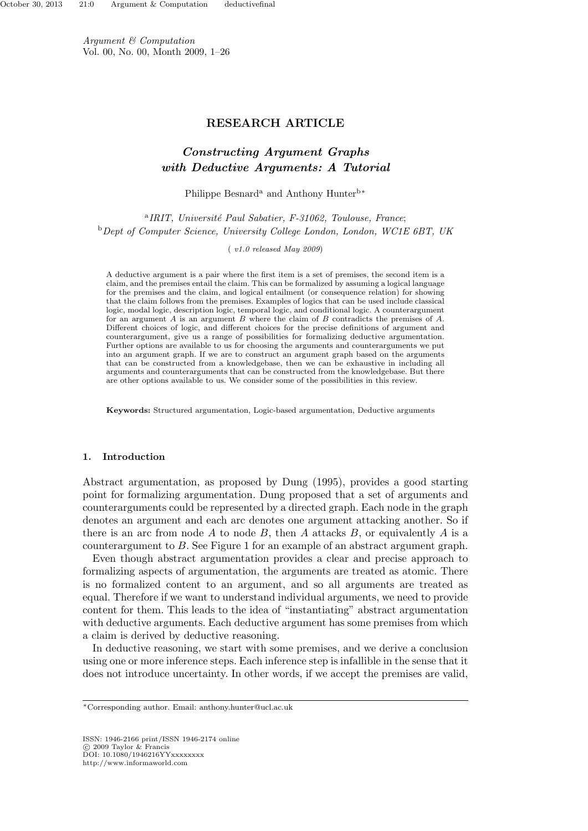Argument & Computation Vol. 00, No. 00, Month 2009, 1–26

## RESEARCH ARTICLE

# Constructing Argument Graphs with Deductive Arguments: A Tutorial

Philippe Besnard<sup>a</sup> and Anthony Hunter<sup>b∗</sup>

<sup>a</sup> IRIT, Université Paul Sabatier, F-31062, Toulouse, France; <sup>b</sup>Dept of Computer Science, University College London, London, WC1E 6BT, UK

( v1.0 released May 2009)

A deductive argument is a pair where the first item is a set of premises, the second item is a claim, and the premises entail the claim. This can be formalized by assuming a logical language for the premises and the claim, and logical entailment (or consequence relation) for showing that the claim follows from the premises. Examples of logics that can be used include classical logic, modal logic, description logic, temporal logic, and conditional logic. A counterargument for an argument  $A$  is an argument  $B$  where the claim of  $B$  contradicts the premises of  $A$ . Different choices of logic, and different choices for the precise definitions of argument and counterargument, give us a range of possibilities for formalizing deductive argumentation. Further options are available to us for choosing the arguments and counterarguments we put into an argument graph. If we are to construct an argument graph based on the arguments that can be constructed from a knowledgebase, then we can be exhaustive in including all arguments and counterarguments that can be constructed from the knowledgebase. But there are other options available to us. We consider some of the possibilities in this review.

Keywords: Structured argumentation, Logic-based argumentation, Deductive arguments

## 1. Introduction

Abstract argumentation, as proposed by Dung (1995), provides a good starting point for formalizing argumentation. Dung proposed that a set of arguments and counterarguments could be represented by a directed graph. Each node in the graph denotes an argument and each arc denotes one argument attacking another. So if there is an arc from node A to node B, then A attacks B, or equivalently A is a counterargument to B. See Figure 1 for an example of an abstract argument graph.

Even though abstract argumentation provides a clear and precise approach to formalizing aspects of argumentation, the arguments are treated as atomic. There is no formalized content to an argument, and so all arguments are treated as equal. Therefore if we want to understand individual arguments, we need to provide content for them. This leads to the idea of "instantiating" abstract argumentation with deductive arguments. Each deductive argument has some premises from which a claim is derived by deductive reasoning.

In deductive reasoning, we start with some premises, and we derive a conclusion using one or more inference steps. Each inference step is infallible in the sense that it does not introduce uncertainty. In other words, if we accept the premises are valid,

ISSN: 1946-2166 print/ISSN 1946-2174 online © 2009 Taylor & Francis<br>DOI: 10.1080/1946216YYxxxxxxxx http://www.informaworld.com

<sup>∗</sup>Corresponding author. Email: anthony.hunter@ucl.ac.uk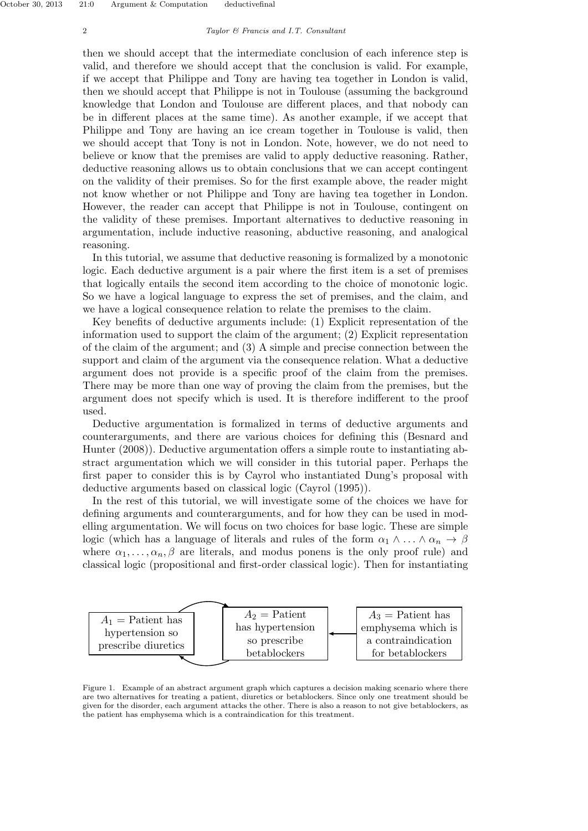then we should accept that the intermediate conclusion of each inference step is valid, and therefore we should accept that the conclusion is valid. For example, if we accept that Philippe and Tony are having tea together in London is valid, then we should accept that Philippe is not in Toulouse (assuming the background knowledge that London and Toulouse are different places, and that nobody can be in different places at the same time). As another example, if we accept that Philippe and Tony are having an ice cream together in Toulouse is valid, then we should accept that Tony is not in London. Note, however, we do not need to believe or know that the premises are valid to apply deductive reasoning. Rather, deductive reasoning allows us to obtain conclusions that we can accept contingent on the validity of their premises. So for the first example above, the reader might not know whether or not Philippe and Tony are having tea together in London. However, the reader can accept that Philippe is not in Toulouse, contingent on the validity of these premises. Important alternatives to deductive reasoning in argumentation, include inductive reasoning, abductive reasoning, and analogical reasoning.

In this tutorial, we assume that deductive reasoning is formalized by a monotonic logic. Each deductive argument is a pair where the first item is a set of premises that logically entails the second item according to the choice of monotonic logic. So we have a logical language to express the set of premises, and the claim, and we have a logical consequence relation to relate the premises to the claim.

Key benefits of deductive arguments include: (1) Explicit representation of the information used to support the claim of the argument; (2) Explicit representation of the claim of the argument; and (3) A simple and precise connection between the support and claim of the argument via the consequence relation. What a deductive argument does not provide is a specific proof of the claim from the premises. There may be more than one way of proving the claim from the premises, but the argument does not specify which is used. It is therefore indifferent to the proof used.

Deductive argumentation is formalized in terms of deductive arguments and counterarguments, and there are various choices for defining this (Besnard and Hunter (2008)). Deductive argumentation offers a simple route to instantiating abstract argumentation which we will consider in this tutorial paper. Perhaps the first paper to consider this is by Cayrol who instantiated Dung's proposal with deductive arguments based on classical logic (Cayrol (1995)).

In the rest of this tutorial, we will investigate some of the choices we have for defining arguments and counterarguments, and for how they can be used in modelling argumentation. We will focus on two choices for base logic. These are simple logic (which has a language of literals and rules of the form  $\alpha_1 \wedge \ldots \wedge \alpha_n \rightarrow \beta$ where  $\alpha_1, \ldots, \alpha_n, \beta$  are literals, and modus ponens is the only proof rule) and classical logic (propositional and first-order classical logic). Then for instantiating



Figure 1. Example of an abstract argument graph which captures a decision making scenario where there are two alternatives for treating a patient, diuretics or betablockers. Since only one treatment should be given for the disorder, each argument attacks the other. There is also a reason to not give betablockers, as the patient has emphysema which is a contraindication for this treatment.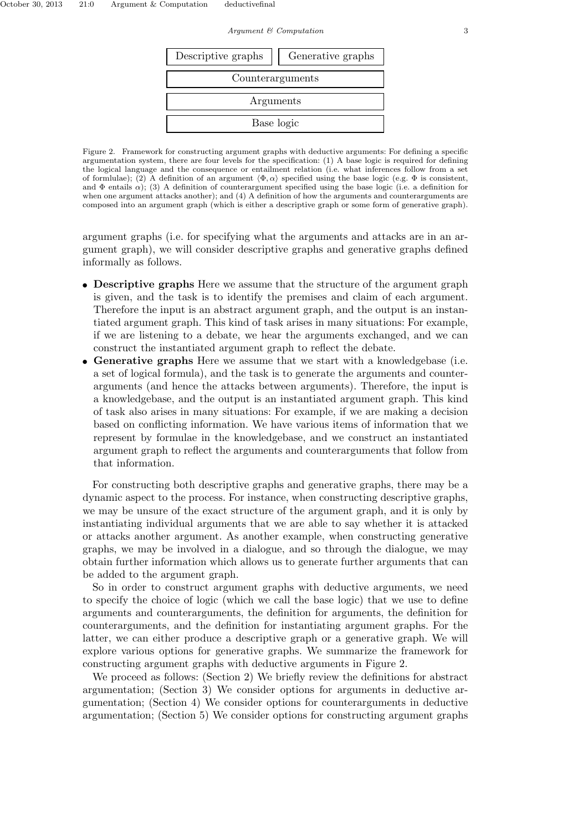Argument & Computation 3



Figure 2. Framework for constructing argument graphs with deductive arguments: For defining a specific argumentation system, there are four levels for the specification: (1) A base logic is required for defining the logical language and the consequence or entailment relation (i.e. what inferences follow from a set of formlulae); (2) A definition of an argument  $\langle \Phi, \alpha \rangle$  specified using the base logic (e.g.  $\Phi$  is consistent, and  $\Phi$  entails  $\alpha$ ); (3) A definition of counterargument specified using the base logic (i.e. a definition for when one argument attacks another); and (4) A definition of how the arguments and counterarguments are composed into an argument graph (which is either a descriptive graph or some form of generative graph).

argument graphs (i.e. for specifying what the arguments and attacks are in an argument graph), we will consider descriptive graphs and generative graphs defined informally as follows.

- Descriptive graphs Here we assume that the structure of the argument graph is given, and the task is to identify the premises and claim of each argument. Therefore the input is an abstract argument graph, and the output is an instantiated argument graph. This kind of task arises in many situations: For example, if we are listening to a debate, we hear the arguments exchanged, and we can construct the instantiated argument graph to reflect the debate.
- Generative graphs Here we assume that we start with a knowledgebase (i.e. a set of logical formula), and the task is to generate the arguments and counterarguments (and hence the attacks between arguments). Therefore, the input is a knowledgebase, and the output is an instantiated argument graph. This kind of task also arises in many situations: For example, if we are making a decision based on conflicting information. We have various items of information that we represent by formulae in the knowledgebase, and we construct an instantiated argument graph to reflect the arguments and counterarguments that follow from that information.

For constructing both descriptive graphs and generative graphs, there may be a dynamic aspect to the process. For instance, when constructing descriptive graphs, we may be unsure of the exact structure of the argument graph, and it is only by instantiating individual arguments that we are able to say whether it is attacked or attacks another argument. As another example, when constructing generative graphs, we may be involved in a dialogue, and so through the dialogue, we may obtain further information which allows us to generate further arguments that can be added to the argument graph.

So in order to construct argument graphs with deductive arguments, we need to specify the choice of logic (which we call the base logic) that we use to define arguments and counterarguments, the definition for arguments, the definition for counterarguments, and the definition for instantiating argument graphs. For the latter, we can either produce a descriptive graph or a generative graph. We will explore various options for generative graphs. We summarize the framework for constructing argument graphs with deductive arguments in Figure 2.

We proceed as follows: (Section 2) We briefly review the definitions for abstract argumentation; (Section 3) We consider options for arguments in deductive argumentation; (Section 4) We consider options for counterarguments in deductive argumentation; (Section 5) We consider options for constructing argument graphs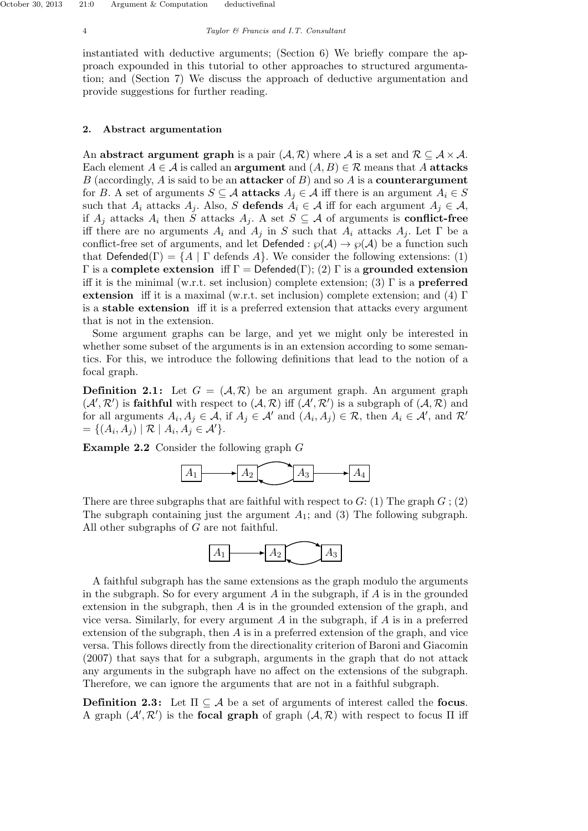instantiated with deductive arguments; (Section 6) We briefly compare the approach expounded in this tutorial to other approaches to structured argumentation; and (Section 7) We discuss the approach of deductive argumentation and provide suggestions for further reading.

## 2. Abstract argumentation

An abstract argument graph is a pair  $(A, \mathcal{R})$  where A is a set and  $\mathcal{R} \subseteq A \times A$ . Each element  $A \in \mathcal{A}$  is called an **argument** and  $(A, B) \in \mathcal{R}$  means that A **attacks** B (accordingly, A is said to be an **attacker** of B) and so A is a **counterargument** for B. A set of arguments  $S \subseteq A$  attacks  $A_i \in A$  iff there is an argument  $A_i \in S$ such that  $A_i$  attacks  $A_j$ . Also, S defends  $A_i \in \mathcal{A}$  iff for each argument  $A_j \in \mathcal{A}$ , if  $A_j$  attacks  $A_i$  then S attacks  $A_j$ . A set  $S \subseteq \mathcal{A}$  of arguments is **conflict-free** iff there are no arguments  $A_i$  and  $A_j$  in S such that  $A_i$  attacks  $A_j$ . Let  $\Gamma$  be a conflict-free set of arguments, and let Defended :  $\wp(A) \to \wp(A)$  be a function such that Defended(Γ) = {A | Γ defends A}. We consider the following extensions: (1) Γ is a complete extension iff  $\Gamma =$  Defended(Γ); (2) Γ is a grounded extension iff it is the minimal (w.r.t. set inclusion) complete extension; (3)  $\Gamma$  is a **preferred** extension iff it is a maximal (w.r.t. set inclusion) complete extension; and (4)  $\Gamma$ is a stable extension iff it is a preferred extension that attacks every argument that is not in the extension.

Some argument graphs can be large, and yet we might only be interested in whether some subset of the arguments is in an extension according to some semantics. For this, we introduce the following definitions that lead to the notion of a focal graph.

**Definition 2.1:** Let  $G = (\mathcal{A}, \mathcal{R})$  be an argument graph. An argument graph  $(\mathcal{A}', \mathcal{R}')$  is **faithful** with respect to  $(\mathcal{A}, \mathcal{R})$  iff  $(\mathcal{A}', \mathcal{R}')$  is a subgraph of  $(\mathcal{A}, \mathcal{R})$  and for all arguments  $A_i, A_j \in \mathcal{A}$ , if  $A_j \in \mathcal{A}'$  and  $(A_i, A_j) \in \mathcal{R}$ , then  $A_i \in \mathcal{A}'$ , and  $\mathcal{R}'$  $= \{ (A_i, A_j) | \mathcal{R} | A_i, A_j \in \mathcal{A}' \}.$ 

Example 2.2 Consider the following graph G



There are three subgraphs that are faithful with respect to  $G: (1)$  The graph  $G: (2)$ The subgraph containing just the argument  $A_1$ ; and (3) The following subgraph. All other subgraphs of G are not faithful.



A faithful subgraph has the same extensions as the graph modulo the arguments in the subgraph. So for every argument  $A$  in the subgraph, if  $A$  is in the grounded extension in the subgraph, then A is in the grounded extension of the graph, and vice versa. Similarly, for every argument  $A$  in the subgraph, if  $A$  is in a preferred extension of the subgraph, then  $A$  is in a preferred extension of the graph, and vice versa. This follows directly from the directionality criterion of Baroni and Giacomin (2007) that says that for a subgraph, arguments in the graph that do not attack any arguments in the subgraph have no affect on the extensions of the subgraph. Therefore, we can ignore the arguments that are not in a faithful subgraph.

**Definition 2.3:** Let  $\Pi \subseteq \mathcal{A}$  be a set of arguments of interest called the **focus**. A graph  $(\mathcal{A}', \mathcal{R}')$  is the focal graph of graph  $(\mathcal{A}, \mathcal{R})$  with respect to focus  $\Pi$  iff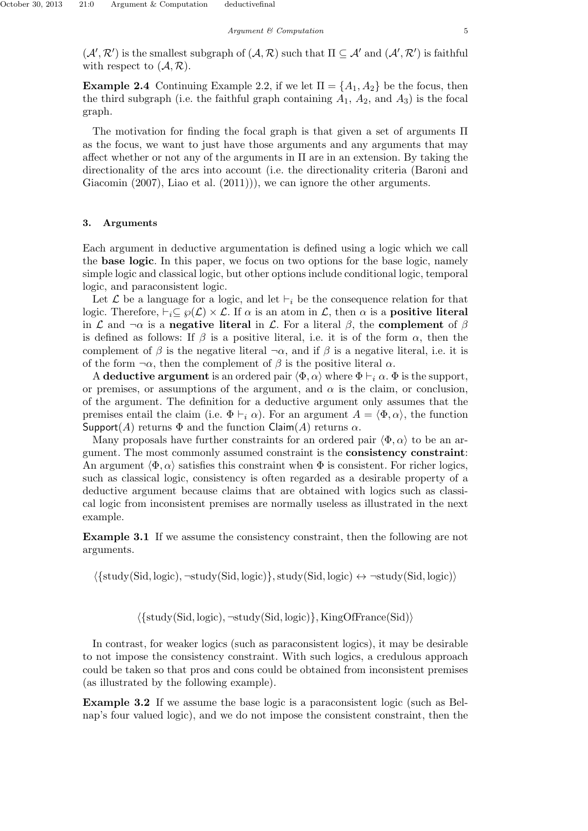$(\mathcal{A}', \mathcal{R}')$  is the smallest subgraph of  $(\mathcal{A}, \mathcal{R})$  such that  $\Pi \subseteq \mathcal{A}'$  and  $(\mathcal{A}', \mathcal{R}')$  is faithful with respect to  $(\mathcal{A}, \mathcal{R})$ .

**Example 2.4** Continuing Example 2.2, if we let  $\Pi = \{A_1, A_2\}$  be the focus, then the third subgraph (i.e. the faithful graph containing  $A_1$ ,  $A_2$ , and  $A_3$ ) is the focal graph.

The motivation for finding the focal graph is that given a set of arguments Π as the focus, we want to just have those arguments and any arguments that may affect whether or not any of the arguments in  $\Pi$  are in an extension. By taking the directionality of the arcs into account (i.e. the directionality criteria (Baroni and Giacomin (2007), Liao et al. (2011)), we can ignore the other arguments.

### 3. Arguments

Each argument in deductive argumentation is defined using a logic which we call the base logic. In this paper, we focus on two options for the base logic, namely simple logic and classical logic, but other options include conditional logic, temporal logic, and paraconsistent logic.

Let  $\mathcal L$  be a language for a logic, and let  $\vdash_i$  be the consequence relation for that logic. Therefore,  $\vdash_i \subseteq \wp(\mathcal{L}) \times \mathcal{L}$ . If  $\alpha$  is an atom in  $\mathcal{L}$ , then  $\alpha$  is a **positive literal** in L and  $\neg \alpha$  is a negative literal in L. For a literal  $\beta$ , the complement of  $\beta$ is defined as follows: If  $\beta$  is a positive literal, i.e. it is of the form  $\alpha$ , then the complement of  $\beta$  is the negative literal  $\neg \alpha$ , and if  $\beta$  is a negative literal, i.e. it is of the form  $\neg \alpha$ , then the complement of  $\beta$  is the positive literal  $\alpha$ .

A deductive argument is an ordered pair  $\langle \Phi, \alpha \rangle$  where  $\Phi \vdash_i \alpha$ .  $\Phi$  is the support, or premises, or assumptions of the argument, and  $\alpha$  is the claim, or conclusion, of the argument. The definition for a deductive argument only assumes that the premises entail the claim (i.e.  $\Phi \vdash_i \alpha$ ). For an argument  $A = \langle \Phi, \alpha \rangle$ , the function Support(A) returns  $\Phi$  and the function Claim(A) returns  $\alpha$ .

Many proposals have further constraints for an ordered pair  $\langle \Phi, \alpha \rangle$  to be an argument. The most commonly assumed constraint is the consistency constraint: An argument  $\langle \Phi, \alpha \rangle$  satisfies this constraint when  $\Phi$  is consistent. For richer logics, such as classical logic, consistency is often regarded as a desirable property of a deductive argument because claims that are obtained with logics such as classical logic from inconsistent premises are normally useless as illustrated in the next example.

Example 3.1 If we assume the consistency constraint, then the following are not arguments.

 $\langle \{\text{study}(Sid, logic), \neg \text{study}(Sid, logic)\}, \text{study}(Sid, logic) \leftrightarrow \neg \text{study}(Sid, logic)\rangle$ 

 $\langle \{\text{study(Sid, logic)}, \neg \text{study(Sid, logic)}\}, \text{KingOfFrance(Sid)}\rangle$ 

In contrast, for weaker logics (such as paraconsistent logics), it may be desirable to not impose the consistency constraint. With such logics, a credulous approach could be taken so that pros and cons could be obtained from inconsistent premises (as illustrated by the following example).

Example 3.2 If we assume the base logic is a paraconsistent logic (such as Belnap's four valued logic), and we do not impose the consistent constraint, then the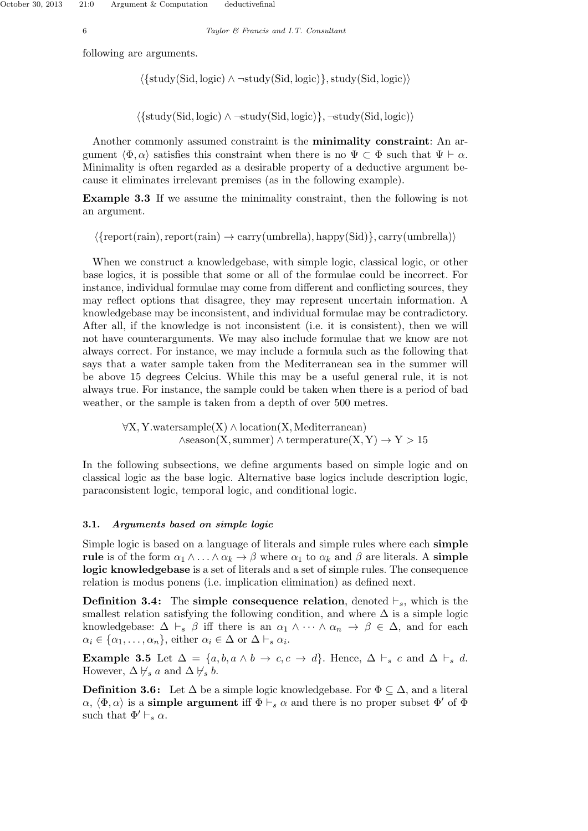following are arguments.

 $\langle \{\text{study(Sid, logic)} \wedge \neg \text{study(Sid, logic)}\}, \text{study(Sid, logic)}\rangle$ 

 $\langle \{\text{study}(Sid, logic) \wedge \neg \text{study}(Sid, logic)\}, \neg \text{study}(Sid, logic)\rangle$ 

Another commonly assumed constraint is the minimality constraint: An argument  $\langle \Phi, \alpha \rangle$  satisfies this constraint when there is no  $\Psi \subset \Phi$  such that  $\Psi \vdash \alpha$ . Minimality is often regarded as a desirable property of a deductive argument because it eliminates irrelevant premises (as in the following example).

Example 3.3 If we assume the minimality constraint, then the following is not an argument.

 $\langle \{\text{report}(\text{rain})\},\text{report}(\text{rain}) \rightarrow \text{carry}(\text{umbrella}),\text{happy}(\text{Sid})\},\text{carry}(\text{umbrella})\rangle$ 

When we construct a knowledgebase, with simple logic, classical logic, or other base logics, it is possible that some or all of the formulae could be incorrect. For instance, individual formulae may come from different and conflicting sources, they may reflect options that disagree, they may represent uncertain information. A knowledgebase may be inconsistent, and individual formulae may be contradictory. After all, if the knowledge is not inconsistent (i.e. it is consistent), then we will not have counterarguments. We may also include formulae that we know are not always correct. For instance, we may include a formula such as the following that says that a water sample taken from the Mediterranean sea in the summer will be above 15 degrees Celcius. While this may be a useful general rule, it is not always true. For instance, the sample could be taken when there is a period of bad weather, or the sample is taken from a depth of over 500 metres.

> $\forall X, Y$ .watersample $(X) \wedge$  location $(X, \text{Mediteranean})$  $\wedge$ season(X, summer)  $\wedge$  termperature(X, Y)  $\rightarrow$  Y  $> 15$

In the following subsections, we define arguments based on simple logic and on classical logic as the base logic. Alternative base logics include description logic, paraconsistent logic, temporal logic, and conditional logic.

## 3.1. Arguments based on simple logic

Simple logic is based on a language of literals and simple rules where each simple rule is of the form  $\alpha_1 \wedge \ldots \wedge \alpha_k \rightarrow \beta$  where  $\alpha_1$  to  $\alpha_k$  and  $\beta$  are literals. A simple logic knowledgebase is a set of literals and a set of simple rules. The consequence relation is modus ponens (i.e. implication elimination) as defined next.

**Definition 3.4:** The simple consequence relation, denoted  $\vdash_s$ , which is the smallest relation satisfying the following condition, and where  $\Delta$  is a simple logic knowledgebase:  $\Delta \vdash_s \beta$  iff there is an  $\alpha_1 \wedge \cdots \wedge \alpha_n \rightarrow \beta \in \Delta$ , and for each  $\alpha_i \in \{\alpha_1, \ldots, \alpha_n\}$ , either  $\alpha_i \in \Delta$  or  $\Delta \vdash_s \alpha_i$ .

Example 3.5 Let  $\Delta = \{a, b, a \wedge b \rightarrow c, c \rightarrow d\}$ . Hence,  $\Delta \vdash_s c$  and  $\Delta \vdash_s d$ . However,  $\Delta \nvdash_s a$  and  $\Delta \nvdash_s b$ .

**Definition 3.6:** Let  $\Delta$  be a simple logic knowledgebase. For  $\Phi \subseteq \Delta$ , and a literal  $\alpha$ ,  $\langle \Phi, \alpha \rangle$  is a simple argument iff  $\Phi \vdash_s \alpha$  and there is no proper subset  $\Phi'$  of  $\Phi$ such that  $\Phi' \vdash_s \alpha$ .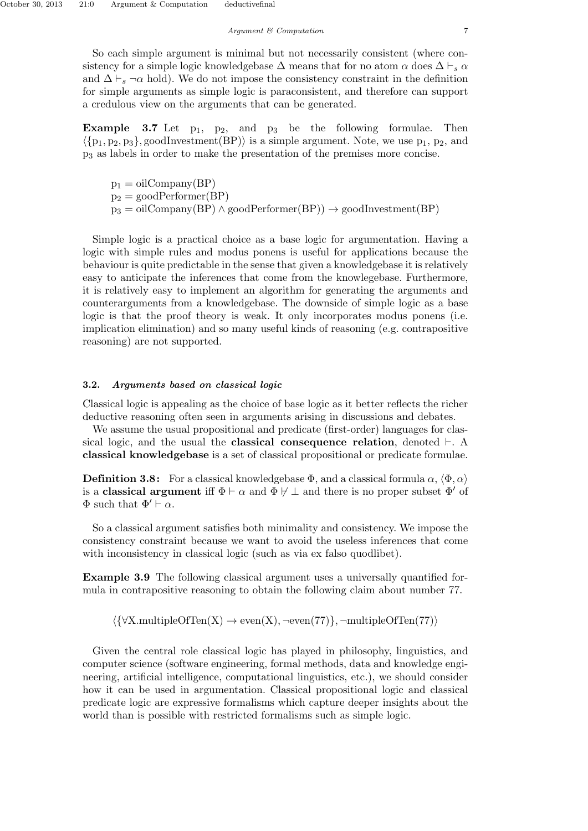So each simple argument is minimal but not necessarily consistent (where consistency for a simple logic knowledgebase  $\Delta$  means that for no atom  $\alpha$  does  $\Delta \vdash_s \alpha$ and  $\Delta \vdash_s \neg \alpha$  hold). We do not impose the consistency constraint in the definition for simple arguments as simple logic is paraconsistent, and therefore can support a credulous view on the arguments that can be generated.

**Example 3.7** Let  $p_1$ ,  $p_2$ , and  $p_3$  be the following formulae. Then  $\{\mathfrak{p}_1, \mathfrak{p}_2, \mathfrak{p}_3\}$ , goodInvestment(BP)) is a simple argument. Note, we use  $p_1, p_2$ , and p<sup>3</sup> as labels in order to make the presentation of the premises more concise.

 $p_1 = oil Company(BP)$  $p_2 = \text{goodPerformer}(BP)$  $p_3 = oil Company(BP) \wedge goodPerformance(BP)) \rightarrow goodInvestment(BP)$ 

Simple logic is a practical choice as a base logic for argumentation. Having a logic with simple rules and modus ponens is useful for applications because the behaviour is quite predictable in the sense that given a knowledgebase it is relatively easy to anticipate the inferences that come from the knowlegebase. Furthermore, it is relatively easy to implement an algorithm for generating the arguments and counterarguments from a knowledgebase. The downside of simple logic as a base logic is that the proof theory is weak. It only incorporates modus ponens (i.e. implication elimination) and so many useful kinds of reasoning (e.g. contrapositive reasoning) are not supported.

## 3.2. Arguments based on classical logic

Classical logic is appealing as the choice of base logic as it better reflects the richer deductive reasoning often seen in arguments arising in discussions and debates.

We assume the usual propositional and predicate (first-order) languages for classical logic, and the usual the classical consequence relation, denoted  $\vdash$ . A classical knowledgebase is a set of classical propositional or predicate formulae.

**Definition 3.8:** For a classical knowledgebase  $\Phi$ , and a classical formula  $\alpha$ ,  $\langle \Phi, \alpha \rangle$ is a **classical argument** iff  $\Phi \vdash \alpha$  and  $\Phi \not\vdash \bot$  and there is no proper subset  $\Phi'$  of  $\Phi$  such that  $\Phi' \vdash \alpha$ .

So a classical argument satisfies both minimality and consistency. We impose the consistency constraint because we want to avoid the useless inferences that come with inconsistency in classical logic (such as via ex falso quodlibet).

Example 3.9 The following classical argument uses a universally quantified formula in contrapositive reasoning to obtain the following claim about number 77.

 $\langle \{\forall X . \text{multipleOfTen}(X) \rightarrow \text{even}(X), \neg \text{even}(77)\}, \neg \text{multipleOfTen}(77)\rangle$ 

Given the central role classical logic has played in philosophy, linguistics, and computer science (software engineering, formal methods, data and knowledge engineering, artificial intelligence, computational linguistics, etc.), we should consider how it can be used in argumentation. Classical propositional logic and classical predicate logic are expressive formalisms which capture deeper insights about the world than is possible with restricted formalisms such as simple logic.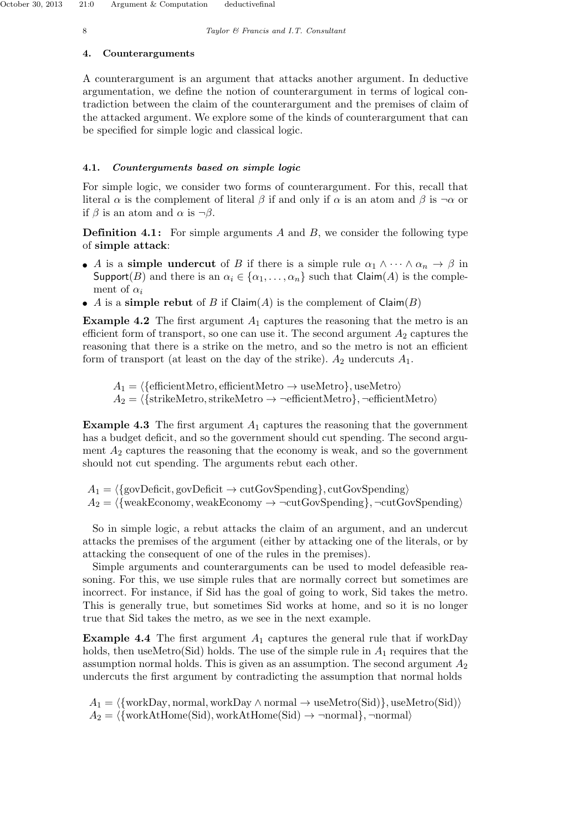## 4. Counterarguments

A counterargument is an argument that attacks another argument. In deductive argumentation, we define the notion of counterargument in terms of logical contradiction between the claim of the counterargument and the premises of claim of the attacked argument. We explore some of the kinds of counterargument that can be specified for simple logic and classical logic.

## 4.1. Counterguments based on simple logic

For simple logic, we consider two forms of counterargument. For this, recall that literal  $\alpha$  is the complement of literal  $\beta$  if and only if  $\alpha$  is an atom and  $\beta$  is  $\neg \alpha$  or if  $\beta$  is an atom and  $\alpha$  is  $\neg \beta$ .

**Definition 4.1:** For simple arguments A and B, we consider the following type of simple attack:

- A is a simple undercut of B if there is a simple rule  $\alpha_1 \wedge \cdots \wedge \alpha_n \rightarrow \beta$  in Support(B) and there is an  $\alpha_i \in \{\alpha_1, \dots, \alpha_n\}$  such that Claim(A) is the complement of  $\alpha_i$
- A is a simple rebut of B if  $Claim(A)$  is the complement of  $Claim(B)$

**Example 4.2** The first argument  $A_1$  captures the reasoning that the metro is an efficient form of transport, so one can use it. The second argument  $A_2$  captures the reasoning that there is a strike on the metro, and so the metro is not an efficient form of transport (at least on the day of the strike).  $A_2$  undercuts  $A_1$ .

 $A_1 = \langle \{\text{efficientMetro}, \text{efficientMetro} \rightarrow \text{useMetro}\}, \text{useMetro}\rangle$  $A_2 = \langle \{\text{strikeMetro}, \text{strikeMetro} \rightarrow \neg \text{efficientMetro}\}, \neg \text{efficientMetro}\rangle$ 

**Example 4.3** The first argument  $A_1$  captures the reasoning that the government has a budget deficit, and so the government should cut spending. The second argument  $A_2$  captures the reasoning that the economy is weak, and so the government should not cut spending. The arguments rebut each other.

 $A_1 = \langle {\text{govDeficit}}, {\text{govDeficit}} \to {\text{cutGovSpending}}\rangle, {\text{cutGovSpending}}\rangle$  $A_2 = \langle \{\text{weakEconomy}, \text{weakEconomy} \rightarrow \neg \text{cutGovSpending}\}, \neg \text{cutGovSpending}\rangle$ 

So in simple logic, a rebut attacks the claim of an argument, and an undercut attacks the premises of the argument (either by attacking one of the literals, or by attacking the consequent of one of the rules in the premises).

Simple arguments and counterarguments can be used to model defeasible reasoning. For this, we use simple rules that are normally correct but sometimes are incorrect. For instance, if Sid has the goal of going to work, Sid takes the metro. This is generally true, but sometimes Sid works at home, and so it is no longer true that Sid takes the metro, as we see in the next example.

**Example 4.4** The first argument  $A_1$  captures the general rule that if workDay holds, then useMetro(Sid) holds. The use of the simple rule in  $A_1$  requires that the assumption normal holds. This is given as an assumption. The second argument  $A_2$ undercuts the first argument by contradicting the assumption that normal holds

 $A_1 = \{\{\text{workDay}, \text{normal}, \text{workDay} \wedge \text{normal} \rightarrow \text{useMetro}(Sid)\}, \text{useMetro}(Sid))\}$  $A_2 = \langle {\text{workAtHome}(Sid), \text{workAtHome}(Sid) \rightarrow \neg \text{normal}} \rangle$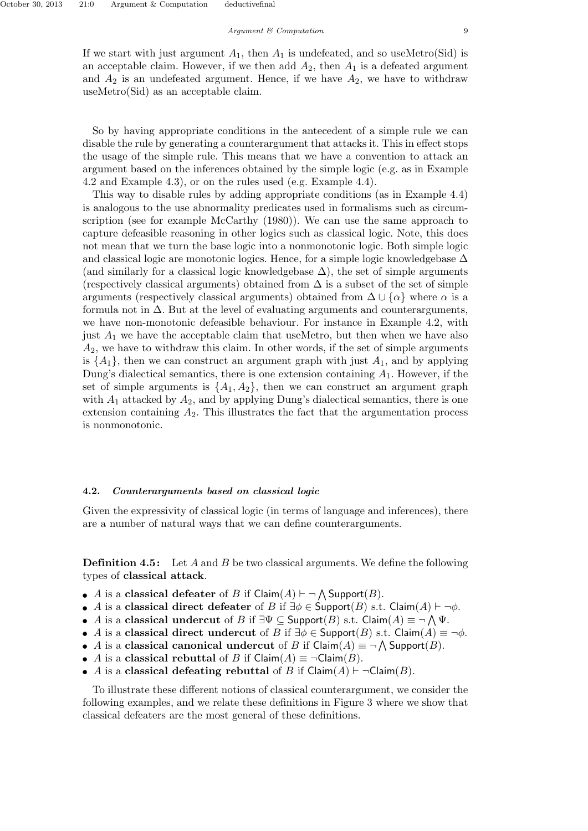If we start with just argument  $A_1$ , then  $A_1$  is undefeated, and so useMetro(Sid) is an acceptable claim. However, if we then add  $A_2$ , then  $A_1$  is a defeated argument and  $A_2$  is an undefeated argument. Hence, if we have  $A_2$ , we have to withdraw useMetro(Sid) as an acceptable claim.

So by having appropriate conditions in the antecedent of a simple rule we can disable the rule by generating a counterargument that attacks it. This in effect stops the usage of the simple rule. This means that we have a convention to attack an argument based on the inferences obtained by the simple logic (e.g. as in Example 4.2 and Example 4.3), or on the rules used (e.g. Example 4.4).

This way to disable rules by adding appropriate conditions (as in Example 4.4) is analogous to the use abnormality predicates used in formalisms such as circumscription (see for example McCarthy (1980)). We can use the same approach to capture defeasible reasoning in other logics such as classical logic. Note, this does not mean that we turn the base logic into a nonmonotonic logic. Both simple logic and classical logic are monotonic logics. Hence, for a simple logic knowledgebase  $\Delta$ (and similarly for a classical logic knowledgebase  $\Delta$ ), the set of simple arguments (respectively classical arguments) obtained from  $\Delta$  is a subset of the set of simple arguments (respectively classical arguments) obtained from  $\Delta \cup {\alpha}$  where  $\alpha$  is a formula not in  $\Delta$ . But at the level of evaluating arguments and counterarguments. we have non-monotonic defeasible behaviour. For instance in Example 4.2, with just  $A_1$  we have the acceptable claim that useMetro, but then when we have also  $A_2$ , we have to withdraw this claim. In other words, if the set of simple arguments is  $\{A_1\}$ , then we can construct an argument graph with just  $A_1$ , and by applying Dung's dialectical semantics, there is one extension containing  $A_1$ . However, if the set of simple arguments is  $\{A_1, A_2\}$ , then we can construct an argument graph with  $A_1$  attacked by  $A_2$ , and by applying Dung's dialectical semantics, there is one extension containing  $A_2$ . This illustrates the fact that the argumentation process is nonmonotonic.

## 4.2. Counterarguments based on classical logic

Given the expressivity of classical logic (in terms of language and inferences), there are a number of natural ways that we can define counterarguments.

**Definition 4.5:** Let  $A$  and  $B$  be two classical arguments. We define the following types of classical attack.

- A is a classical defeater of B if  $\text{Claim}(A) \vdash \neg \bigwedge \text{Support}(B)$ .
- A is a classical direct defeater of B if  $\exists \phi \in \text{Support}(B)$  s.t. Claim $(A) \vdash \neg \phi$ .
- A is a classical undercut of B if  $\exists \Psi \subseteq \mathsf{Support}(B) \text{ s.t. } \mathsf{Claim}(A) \equiv \neg \bigwedge \Psi.$
- A is a classical direct undercut of B if  $\exists \phi \in \mathsf{Support}(B)$  s.t. Claim $(A) \equiv \neg \phi$ .
- A is a classical canonical undercut of B if Claim $(A) \equiv \neg \bigwedge \text{Support}(B)$ .
- A is a classical rebuttal of B if Claim $(A) \equiv \neg \text{Claim}(B)$ .
- A is a classical defeating rebuttal of B if Claim(A)  $\vdash \neg \text{Claim}(B)$ .

To illustrate these different notions of classical counterargument, we consider the following examples, and we relate these definitions in Figure 3 where we show that classical defeaters are the most general of these definitions.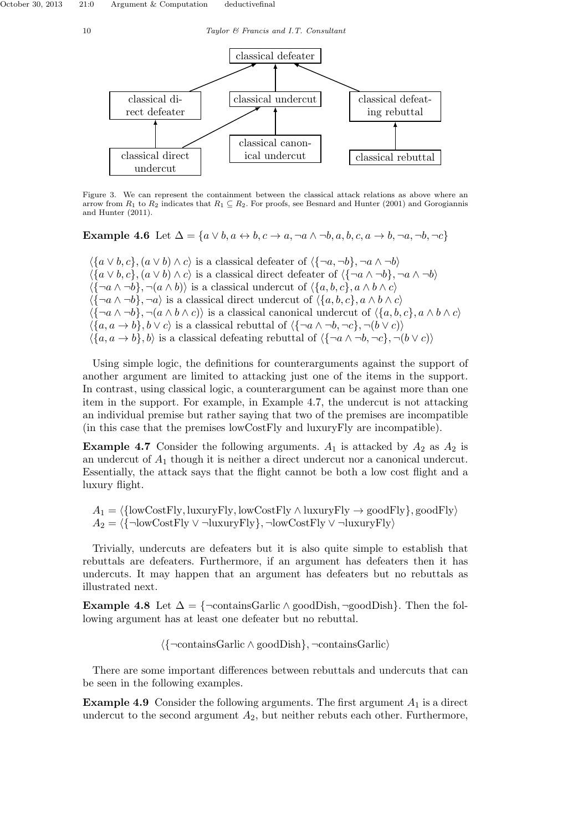

Figure 3. We can represent the containment between the classical attack relations as above where an arrow from  $R_1$  to  $R_2$  indicates that  $R_1 \subseteq R_2$ . For proofs, see Besnard and Hunter (2001) and Gorogiannis and Hunter (2011).

Example 4.6 Let  $\Delta = \{a \lor b, a \leftrightarrow b, c \to a, \neg a \land \neg b, a, b, c, a \to b, \neg a, \neg b, \neg c\}$ 

 $\langle \{a \vee b, c\}, (a \vee b) \wedge c \rangle$  is a classical defeater of  $\langle \{\neg a, \neg b\}, \neg a \wedge \neg b \rangle$  $\langle \{a \vee b, c\}, (a \vee b) \wedge c \rangle$  is a classical direct defeater of  $\langle \{\neg a \wedge \neg b\}, \neg a \wedge \neg b \rangle$  $\langle \{\neg a \wedge \neg b\}, \neg (a \wedge b) \rangle$  is a classical undercut of  $\langle \{a, b, c\}, a \wedge b \wedge c \rangle$  $\langle \{\neg a \wedge \neg b\}, \neg a \rangle$  is a classical direct undercut of  $\langle \{a, b, c\}, a \wedge b \wedge c \rangle$  $\langle \{\neg a \wedge \neg b\}, \neg (a \wedge b \wedge c) \rangle$  is a classical canonical undercut of  $\langle \{a, b, c\}, a \wedge b \wedge c \rangle$  $\langle \{a, a \to b\}, b \lor c \rangle$  is a classical rebuttal of  $\langle \{\neg a \land \neg b, \neg c\}, \neg (b \lor c) \rangle$  $\langle \{a, a \rightarrow b\}, b \rangle$  is a classical defeating rebuttal of  $\langle \{\neg a \wedge \neg b, \neg c\}, \neg (b \vee c) \rangle$ 

Using simple logic, the definitions for counterarguments against the support of another argument are limited to attacking just one of the items in the support. In contrast, using classical logic, a counterargument can be against more than one item in the support. For example, in Example 4.7, the undercut is not attacking an individual premise but rather saying that two of the premises are incompatible (in this case that the premises lowCostFly and luxuryFly are incompatible).

**Example 4.7** Consider the following arguments.  $A_1$  is attacked by  $A_2$  as  $A_2$  is an undercut of  $A_1$  though it is neither a direct undercut nor a canonical undercut. Essentially, the attack says that the flight cannot be both a low cost flight and a luxury flight.

$$
A_1 = \langle \{\text{lowCostFly}, \text{luxuryFly}, \text{lowCostFly} \land \text{luxuryFly} \rightarrow \text{goodFly} \}, \text{goodFly} \rangle
$$
  
\n $A_2 = \langle \{\text{--lowCostFly} \lor \text{--luxuryFly} \}, \text{--lowCostFly} \lor \text{--luxuryFly} \rangle$ 

Trivially, undercuts are defeaters but it is also quite simple to establish that rebuttals are defeaters. Furthermore, if an argument has defeaters then it has undercuts. It may happen that an argument has defeaters but no rebuttals as illustrated next.

Example 4.8 Let  $\Delta = \{\text{-containsGarlic} \wedge \text{goodDish}, \text{-goodDish}\}\.$  Then the following argument has at least one defeater but no rebuttal.

 $\langle \{-\text{containsGarlic} \wedge \text{goodDish}\}, \neg \text{containsGarlic}\rangle$ 

There are some important differences between rebuttals and undercuts that can be seen in the following examples.

**Example 4.9** Consider the following arguments. The first argument  $A_1$  is a direct undercut to the second argument  $A_2$ , but neither rebuts each other. Furthermore,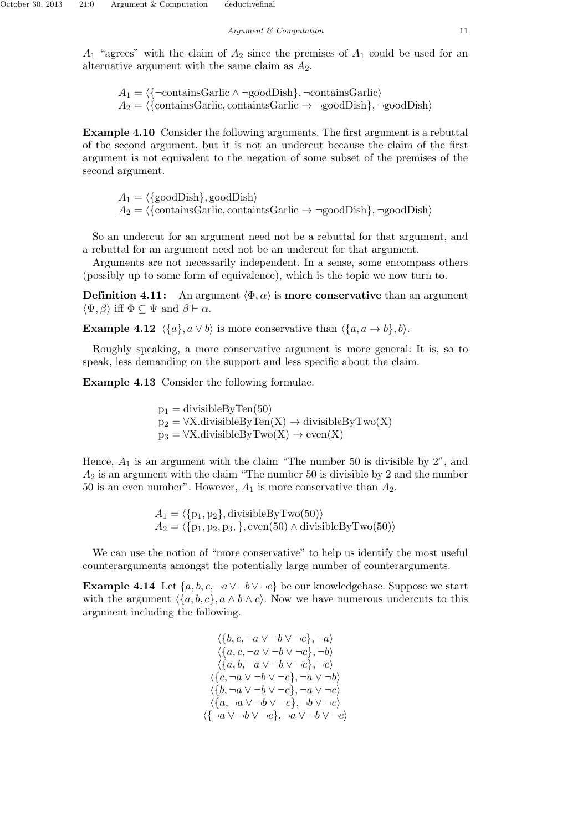$A_1$  "agrees" with the claim of  $A_2$  since the premises of  $A_1$  could be used for an alternative argument with the same claim as  $A_2$ .

 $A_1 = \langle \{\neg containsGarlic \land \neg goodDish\}, \neg containsGarlic \rangle$  $A_2 = \langle \{\text{containsGarlic}, \text{containsGarlic} \rightarrow \neg \text{goodDish}\}, \neg \text{goodDish}\rangle$ 

Example 4.10 Consider the following arguments. The first argument is a rebuttal of the second argument, but it is not an undercut because the claim of the first argument is not equivalent to the negation of some subset of the premises of the second argument.

 $A_1 = \langle \{ \text{goodDish} \}, \text{goodDish} \rangle$  $A_2 = \langle \{\text{containsGarlic}, \text{containsGarlic} \rightarrow \neg \text{goodDish}\}, \neg \text{goodDish}\rangle$ 

So an undercut for an argument need not be a rebuttal for that argument, and a rebuttal for an argument need not be an undercut for that argument.

Arguments are not necessarily independent. In a sense, some encompass others (possibly up to some form of equivalence), which is the topic we now turn to.

**Definition 4.11:** An argument  $\langle \Phi, \alpha \rangle$  is **more conservative** than an argument  $\langle \Psi, \beta \rangle$  iff  $\Phi \subset \Psi$  and  $\beta \vdash \alpha$ .

**Example 4.12**  $\langle \{a\}, a \vee b \rangle$  is more conservative than  $\langle \{a, a \rightarrow b\}, b \rangle$ .

Roughly speaking, a more conservative argument is more general: It is, so to speak, less demanding on the support and less specific about the claim.

Example 4.13 Consider the following formulae.

 $p_1 = \text{divisibleByTen}(50)$  $p_2 = \forall X \cdot \text{divisibleByTen}(X) \rightarrow \text{divisibleByTwo}(X)$  $p_3 = \forall X \cdot \text{divisibleByTwo}(X) \rightarrow \text{even}(X)$ 

Hence,  $A_1$  is an argument with the claim "The number 50 is divisible by  $2$ ", and  $A_2$  is an argument with the claim "The number 50 is divisible by 2 and the number 50 is an even number". However,  $A_1$  is more conservative than  $A_2$ .

> $A_1 = \langle {p_1, p_2},$  divisibleByTwo $(50)\rangle$  $A_2 = \langle {p_1, p_2, p_3, },$  even $(50) \wedge \text{divisibleByTwo}(50) \rangle$

We can use the notion of "more conservative" to help us identify the most useful counterarguments amongst the potentially large number of counterarguments.

**Example 4.14** Let  $\{a, b, c, \neg a \lor \neg b \lor \neg c\}$  be our knowledgebase. Suppose we start with the argument  $\langle \{a, b, c\}, a \wedge b \wedge c \rangle$ . Now we have numerous undercuts to this argument including the following.

$$
\langle \{b,c,\neg a \lor \neg b \lor \neg c\},\neg a \rangle
$$
  

$$
\langle \{a,c,\neg a \lor \neg b \lor \neg c\},\neg b \rangle
$$
  

$$
\langle \{a,b,\neg a \lor \neg b \lor \neg c\},\neg c \rangle
$$
  

$$
\langle \{c,\neg a \lor \neg b \lor \neg c\},\neg a \lor \neg b \rangle
$$
  

$$
\langle \{b,\neg a \lor \neg b \lor \neg c\},\neg a \lor \neg b \rangle
$$
  

$$
\langle \{a,\neg a \lor \neg b \lor \neg c\},\neg a \lor \neg c \rangle
$$
  

$$
\langle \{a,\neg a \lor \neg b \lor \neg c\},\neg a \lor \neg b \lor \neg c \rangle
$$
  

$$
\langle \{\neg a \lor \neg b \lor \neg c\},\neg a \lor \neg b \lor \neg c \rangle
$$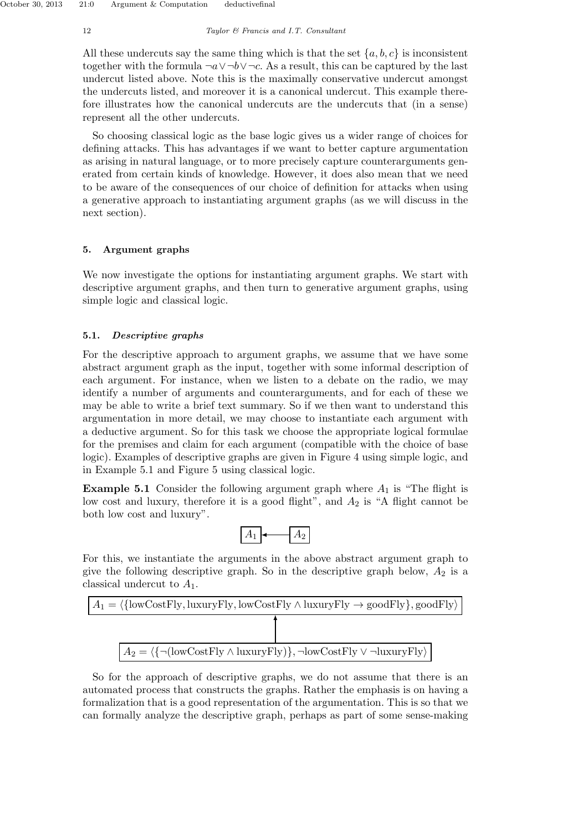All these undercuts say the same thing which is that the set  $\{a, b, c\}$  is inconsistent together with the formula  $\neg a \lor \neg b \lor \neg c$ . As a result, this can be captured by the last undercut listed above. Note this is the maximally conservative undercut amongst the undercuts listed, and moreover it is a canonical undercut. This example therefore illustrates how the canonical undercuts are the undercuts that (in a sense) represent all the other undercuts.

So choosing classical logic as the base logic gives us a wider range of choices for defining attacks. This has advantages if we want to better capture argumentation as arising in natural language, or to more precisely capture counterarguments generated from certain kinds of knowledge. However, it does also mean that we need to be aware of the consequences of our choice of definition for attacks when using a generative approach to instantiating argument graphs (as we will discuss in the next section).

## 5. Argument graphs

We now investigate the options for instantiating argument graphs. We start with descriptive argument graphs, and then turn to generative argument graphs, using simple logic and classical logic.

## 5.1. Descriptive graphs

For the descriptive approach to argument graphs, we assume that we have some abstract argument graph as the input, together with some informal description of each argument. For instance, when we listen to a debate on the radio, we may identify a number of arguments and counterarguments, and for each of these we may be able to write a brief text summary. So if we then want to understand this argumentation in more detail, we may choose to instantiate each argument with a deductive argument. So for this task we choose the appropriate logical formulae for the premises and claim for each argument (compatible with the choice of base logic). Examples of descriptive graphs are given in Figure 4 using simple logic, and in Example 5.1 and Figure 5 using classical logic.

**Example 5.1** Consider the following argument graph where  $A_1$  is "The flight is low cost and luxury, therefore it is a good flight", and  $A_2$  is "A flight cannot be both low cost and luxury".

|--|--|

For this, we instantiate the arguments in the above abstract argument graph to give the following descriptive graph. So in the descriptive graph below,  $A_2$  is a classical undercut to  $A_1$ .



So for the approach of descriptive graphs, we do not assume that there is an automated process that constructs the graphs. Rather the emphasis is on having a formalization that is a good representation of the argumentation. This is so that we can formally analyze the descriptive graph, perhaps as part of some sense-making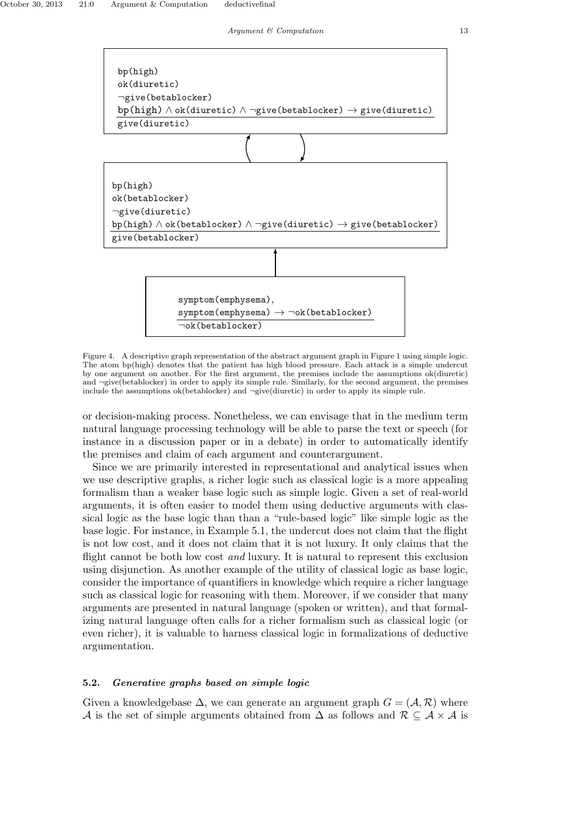

Figure 4. A descriptive graph representation of the abstract argument graph in Figure 1 using simple logic. The atom bp(high) denotes that the patient has high blood pressure. Each attack is a simple undercut by one argument on another. For the first argument, the premises include the assumptions ok(diuretic) and ¬give(betablocker) in order to apply its simple rule. Similarly, for the second argument, the premises include the assumptions ok(betablocker) and ¬give(diuretic) in order to apply its simple rule.

or decision-making process. Nonetheless, we can envisage that in the medium term natural language processing technology will be able to parse the text or speech (for instance in a discussion paper or in a debate) in order to automatically identify the premises and claim of each argument and counterargument.

Since we are primarily interested in representational and analytical issues when we use descriptive graphs, a richer logic such as classical logic is a more appealing formalism than a weaker base logic such as simple logic. Given a set of real-world arguments, it is often easier to model them using deductive arguments with classical logic as the base logic than than a "rule-based logic" like simple logic as the base logic. For instance, in Example 5.1, the undercut does not claim that the flight is not low cost, and it does not claim that it is not luxury. It only claims that the flight cannot be both low cost and luxury. It is natural to represent this exclusion using disjunction. As another example of the utility of classical logic as base logic, consider the importance of quantifiers in knowledge which require a richer language such as classical logic for reasoning with them. Moreover, if we consider that many arguments are presented in natural language (spoken or written), and that formalizing natural language often calls for a richer formalism such as classical logic (or even richer), it is valuable to harness classical logic in formalizations of deductive argumentation.

## 5.2. Generative graphs based on simple logic

Given a knowledgebase  $\Delta$ , we can generate an argument graph  $G = (\mathcal{A}, \mathcal{R})$  where A is the set of simple arguments obtained from  $\Delta$  as follows and  $\mathcal{R} \subseteq \mathcal{A} \times \mathcal{A}$  is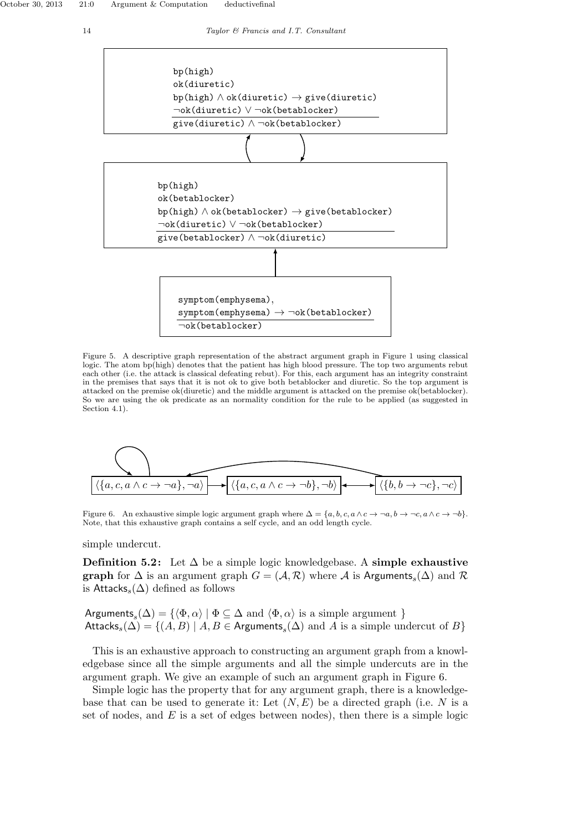



Figure 5. A descriptive graph representation of the abstract argument graph in Figure 1 using classical logic. The atom bp(high) denotes that the patient has high blood pressure. The top two arguments rebut each other (i.e. the attack is classical defeating rebut). For this, each argument has an integrity constraint in the premises that says that it is not ok to give both betablocker and diuretic. So the top argument is attacked on the premise ok(diuretic) and the middle argument is attacked on the premise ok(betablocker). So we are using the ok predicate as an normality condition for the rule to be applied (as suggested in Section 4.1).



Figure 6. An exhaustive simple logic argument graph where  $\Delta = \{a, b, c, a \wedge c \rightarrow \neg a, b \rightarrow \neg c, a \wedge c \rightarrow \neg b\}.$ Note, that this exhaustive graph contains a self cycle, and an odd length cycle.

simple undercut.

**Definition 5.2:** Let  $\Delta$  be a simple logic knowledgebase. A simple exhaustive graph for  $\Delta$  is an argument graph  $G = (\mathcal{A}, \mathcal{R})$  where  $\mathcal A$  is Arguments<sub>s</sub>( $\Delta$ ) and  $\mathcal R$ is Attacks<sub>s</sub>( $\Delta$ ) defined as follows

Arguments<sub>s</sub>( $\Delta$ ) = { $\langle \Phi, \alpha \rangle$  |  $\Phi \subseteq \Delta$  and  $\langle \Phi, \alpha \rangle$  is a simple argument } Attacks<sub>s</sub>( $\Delta$ ) = {(A, B) | A, B  $\in$  Arguments<sub>s</sub>( $\Delta$ ) and A is a simple undercut of B}

This is an exhaustive approach to constructing an argument graph from a knowledgebase since all the simple arguments and all the simple undercuts are in the argument graph. We give an example of such an argument graph in Figure 6.

Simple logic has the property that for any argument graph, there is a knowledgebase that can be used to generate it: Let  $(N, E)$  be a directed graph (i.e. N is a set of nodes, and  $E$  is a set of edges between nodes), then there is a simple logic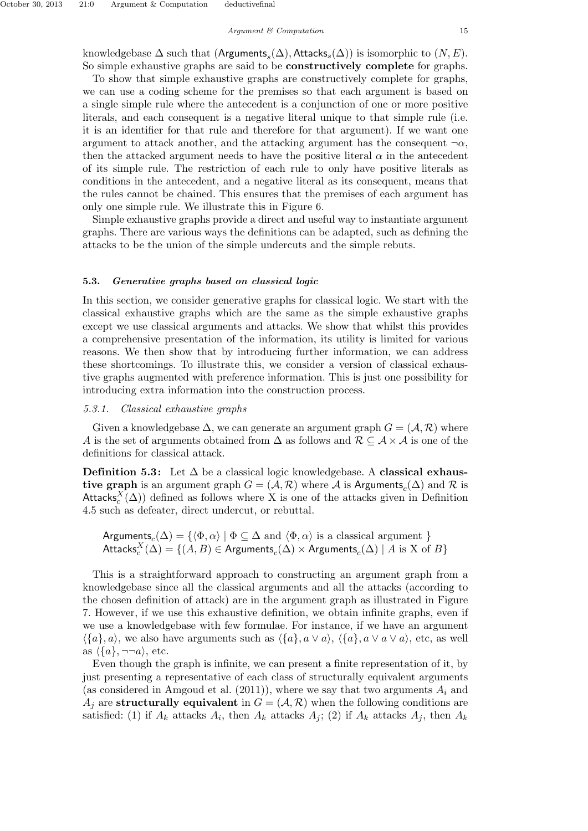knowledgebase  $\Delta$  such that  $(\mathsf{Arguments}_s(\Delta),\mathsf{Attacks}_s(\Delta))$  is isomorphic to  $(N,E).$ So simple exhaustive graphs are said to be constructively complete for graphs.

To show that simple exhaustive graphs are constructively complete for graphs, we can use a coding scheme for the premises so that each argument is based on a single simple rule where the antecedent is a conjunction of one or more positive literals, and each consequent is a negative literal unique to that simple rule (i.e. it is an identifier for that rule and therefore for that argument). If we want one argument to attack another, and the attacking argument has the consequent  $\neg \alpha$ , then the attacked argument needs to have the positive literal  $\alpha$  in the antecedent of its simple rule. The restriction of each rule to only have positive literals as conditions in the antecedent, and a negative literal as its consequent, means that the rules cannot be chained. This ensures that the premises of each argument has only one simple rule. We illustrate this in Figure 6.

Simple exhaustive graphs provide a direct and useful way to instantiate argument graphs. There are various ways the definitions can be adapted, such as defining the attacks to be the union of the simple undercuts and the simple rebuts.

## 5.3. Generative graphs based on classical logic

In this section, we consider generative graphs for classical logic. We start with the classical exhaustive graphs which are the same as the simple exhaustive graphs except we use classical arguments and attacks. We show that whilst this provides a comprehensive presentation of the information, its utility is limited for various reasons. We then show that by introducing further information, we can address these shortcomings. To illustrate this, we consider a version of classical exhaustive graphs augmented with preference information. This is just one possibility for introducing extra information into the construction process.

## 5.3.1. Classical exhaustive graphs

Given a knowledgebase  $\Delta$ , we can generate an argument graph  $G = (\mathcal{A}, \mathcal{R})$  where A is the set of arguments obtained from  $\Delta$  as follows and  $\mathcal{R} \subseteq \mathcal{A} \times \mathcal{A}$  is one of the definitions for classical attack.

**Definition 5.3:** Let  $\Delta$  be a classical logic knowledgebase. A **classical exhaus**tive graph is an argument graph  $G = (\mathcal{A}, \mathcal{R})$  where  $\mathcal{A}$  is Arguments<sub>c</sub>( $\Delta$ ) and  $\mathcal{R}$  is Attacks<sub>c</sub><sup>X</sup>( $\Delta$ )) defined as follows where X is one of the attacks given in Definition 4.5 such as defeater, direct undercut, or rebuttal.

Arguments<sub>c</sub>( $\Delta$ ) = { $\langle \Phi, \alpha \rangle | \Phi \subseteq \Delta$  and  $\langle \Phi, \alpha \rangle$  is a classical argument }  $\mathsf{Attacks}_c^X(\Delta) = \{(A,B)\in\mathsf{Arguments}_c(\Delta)\times\mathsf{Arguments}_c(\Delta)\mid A\text{ is }{\rm X}\text{ of }B\}$ 

This is a straightforward approach to constructing an argument graph from a knowledgebase since all the classical arguments and all the attacks (according to the chosen definition of attack) are in the argument graph as illustrated in Figure 7. However, if we use this exhaustive definition, we obtain infinite graphs, even if we use a knowledgebase with few formulae. For instance, if we have an argument  $\langle \{a\}, a \rangle$ , we also have arguments such as  $\langle \{a\}, a \vee a \rangle$ ,  $\langle \{a\}, a \vee a \vee a \rangle$ , etc, as well as  $\langle \{a\}, \neg \neg a \rangle$ , etc.

Even though the graph is infinite, we can present a finite representation of it, by just presenting a representative of each class of structurally equivalent arguments (as considered in Amgoud et al.  $(2011)$ ), where we say that two arguments  $A_i$  and  $A_i$  are structurally equivalent in  $G = (\mathcal{A}, \mathcal{R})$  when the following conditions are satisfied: (1) if  $A_k$  attacks  $A_i$ , then  $A_k$  attacks  $A_j$ ; (2) if  $A_k$  attacks  $A_j$ , then  $A_k$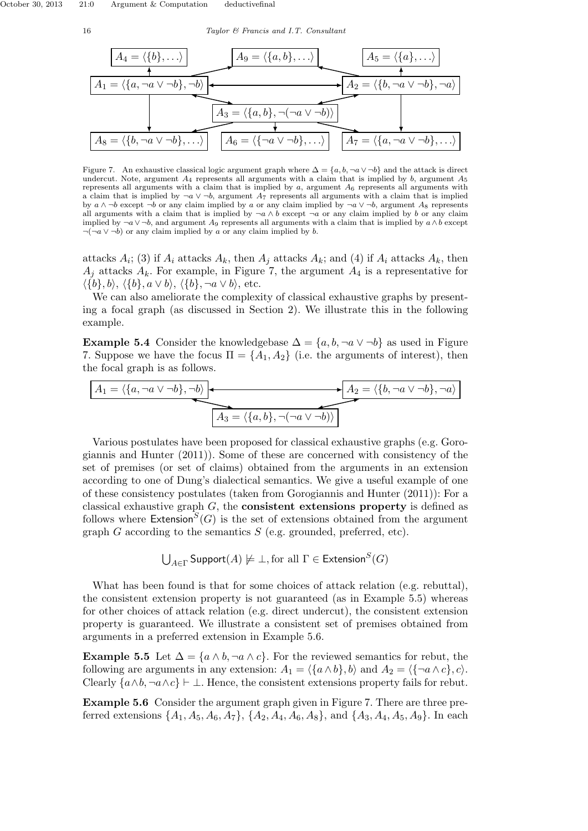

Figure 7. An exhaustive classical logic argument graph where  $\Delta = \{a, b, \neg a \vee \neg b\}$  and the attack is direct undercut. Note, argument  $A_4$  represents all arguments with a claim that is implied by b, argument  $A_5$ represents all arguments with a claim that is implied by  $a$ , argument  $A_6$  represents all arguments with a claim that is implied by  $\neg a \lor \neg b$ , argument A<sub>7</sub> represents all arguments with a claim that is implied by  $a \wedge \neg b$  except  $\neg b$  or any claim implied by a or any claim implied by  $\neg a \vee \neg b$ , argument A<sub>8</sub> represents all arguments with a claim that is implied by  $\neg a \wedge b$  except  $\neg a$  or any claim implied by b or any claim implied by  $\neg a \vee \neg b$ , and argument A<sub>9</sub> represents all arguments with a claim that is implied by  $a \wedge b$  except  $\neg(\neg a \lor \neg b)$  or any claim implied by a or any claim implied by b.

attacks  $A_i$ ; (3) if  $A_i$  attacks  $A_k$ , then  $A_j$  attacks  $A_k$ ; and (4) if  $A_i$  attacks  $A_k$ , then  $A_j$  attacks  $A_k$ . For example, in Figure 7, the argument  $A_4$  is a representative for  $\langle \{b\}, b \rangle, \langle \{b\}, a \vee b \rangle, \langle \{b\}, \neg a \vee b \rangle$ , etc.

We can also ameliorate the complexity of classical exhaustive graphs by presenting a focal graph (as discussed in Section 2). We illustrate this in the following example.

**Example 5.4** Consider the knowledgebase  $\Delta = \{a, b, \neg a \lor \neg b\}$  as used in Figure 7. Suppose we have the focus  $\Pi = \{A_1, A_2\}$  (i.e. the arguments of interest), then the focal graph is as follows.

$$
A_1 = \langle \{a, \neg a \lor \neg b\}, \neg b \rangle
$$
  

$$
A_2 = \langle \{b, \neg a \lor \neg b\}, \neg a \rangle
$$
  

$$
A_3 = \langle \{a, b\}, \neg (\neg a \lor \neg b) \rangle
$$

Various postulates have been proposed for classical exhaustive graphs (e.g. Gorogiannis and Hunter (2011)). Some of these are concerned with consistency of the set of premises (or set of claims) obtained from the arguments in an extension according to one of Dung's dialectical semantics. We give a useful example of one of these consistency postulates (taken from Gorogiannis and Hunter (2011)): For a classical exhaustive graph  $G$ , the **consistent extensions property** is defined as follows where Extension<sup>S</sup> $(G)$  is the set of extensions obtained from the argument graph G according to the semantics  $S$  (e.g. grounded, preferred, etc).

$$
\textstyle \bigcup_{A \in \Gamma} \mathsf{Support}(A) \not \models \bot, \text{for all } \Gamma \in \mathsf{Extension}^S(G)
$$

What has been found is that for some choices of attack relation (e.g. rebuttal), the consistent extension property is not guaranteed (as in Example 5.5) whereas for other choices of attack relation (e.g. direct undercut), the consistent extension property is guaranteed. We illustrate a consistent set of premises obtained from arguments in a preferred extension in Example 5.6.

Example 5.5 Let  $\Delta = \{a \wedge b, \neg a \wedge c\}$ . For the reviewed semantics for rebut, the following are arguments in any extension:  $A_1 = \langle \{a \wedge b\}, b \rangle$  and  $A_2 = \langle \{\neg a \wedge c\}, c \rangle$ . Clearly  $\{a \wedge b, \neg a \wedge c\} \vdash \bot$ . Hence, the consistent extensions property fails for rebut.

Example 5.6 Consider the argument graph given in Figure 7. There are three preferred extensions  $\{A_1, A_5, A_6, A_7\}$ ,  $\{A_2, A_4, A_6, A_8\}$ , and  $\{A_3, A_4, A_5, A_9\}$ . In each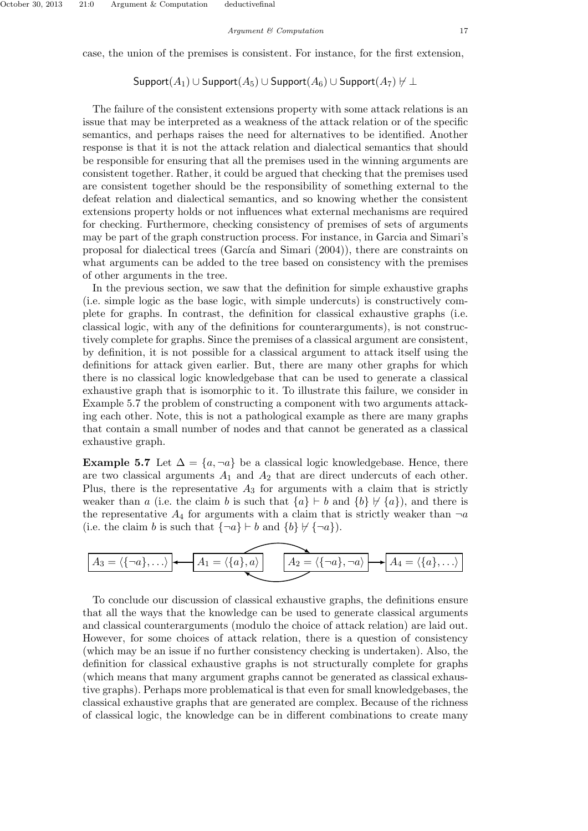case, the union of the premises is consistent. For instance, for the first extension,

Support $(A_1)$  ∪ Support $(A_5)$  ∪ Support $(A_6)$  ∪ Support $(A_7)$   $\nvdash \bot$ 

The failure of the consistent extensions property with some attack relations is an issue that may be interpreted as a weakness of the attack relation or of the specific semantics, and perhaps raises the need for alternatives to be identified. Another response is that it is not the attack relation and dialectical semantics that should be responsible for ensuring that all the premises used in the winning arguments are consistent together. Rather, it could be argued that checking that the premises used are consistent together should be the responsibility of something external to the defeat relation and dialectical semantics, and so knowing whether the consistent extensions property holds or not influences what external mechanisms are required for checking. Furthermore, checking consistency of premises of sets of arguments may be part of the graph construction process. For instance, in Garcia and Simari's proposal for dialectical trees (García and Simari  $(2004)$ ), there are constraints on what arguments can be added to the tree based on consistency with the premises of other arguments in the tree.

In the previous section, we saw that the definition for simple exhaustive graphs (i.e. simple logic as the base logic, with simple undercuts) is constructively complete for graphs. In contrast, the definition for classical exhaustive graphs (i.e. classical logic, with any of the definitions for counterarguments), is not constructively complete for graphs. Since the premises of a classical argument are consistent, by definition, it is not possible for a classical argument to attack itself using the definitions for attack given earlier. But, there are many other graphs for which there is no classical logic knowledgebase that can be used to generate a classical exhaustive graph that is isomorphic to it. To illustrate this failure, we consider in Example 5.7 the problem of constructing a component with two arguments attacking each other. Note, this is not a pathological example as there are many graphs that contain a small number of nodes and that cannot be generated as a classical exhaustive graph.

Example 5.7 Let  $\Delta = \{a, \neg a\}$  be a classical logic knowledgebase. Hence, there are two classical arguments  $A_1$  and  $A_2$  that are direct undercuts of each other. Plus, there is the representative  $A_3$  for arguments with a claim that is strictly weaker than a (i.e. the claim b is such that  ${a} \vdash b$  and  ${b} \not \vdash {a}$ ), and there is the representative  $A_4$  for arguments with a claim that is strictly weaker than  $\neg a$ (i.e. the claim b is such that  $\{\neg a\} \vdash b$  and  $\{b\} \not\vdash \{\neg a\}$ ).



To conclude our discussion of classical exhaustive graphs, the definitions ensure that all the ways that the knowledge can be used to generate classical arguments and classical counterarguments (modulo the choice of attack relation) are laid out. However, for some choices of attack relation, there is a question of consistency (which may be an issue if no further consistency checking is undertaken). Also, the definition for classical exhaustive graphs is not structurally complete for graphs (which means that many argument graphs cannot be generated as classical exhaustive graphs). Perhaps more problematical is that even for small knowledgebases, the classical exhaustive graphs that are generated are complex. Because of the richness of classical logic, the knowledge can be in different combinations to create many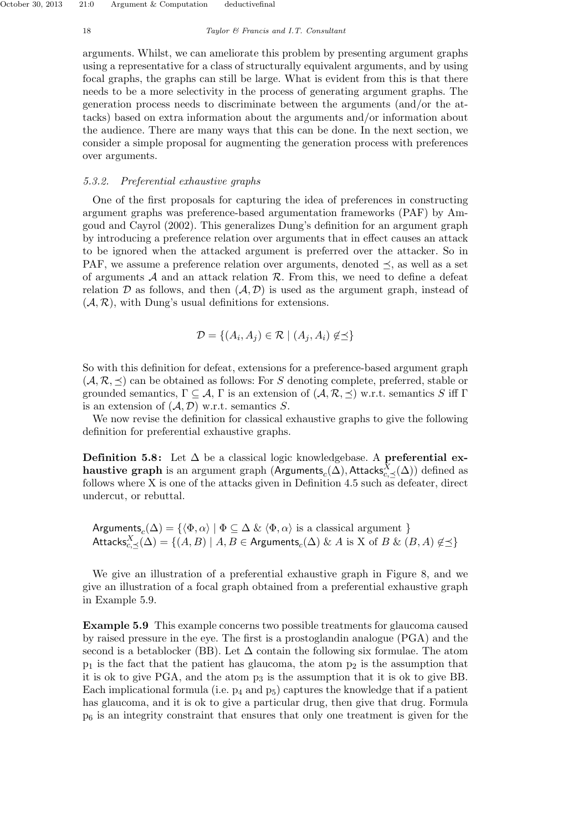arguments. Whilst, we can ameliorate this problem by presenting argument graphs using a representative for a class of structurally equivalent arguments, and by using focal graphs, the graphs can still be large. What is evident from this is that there needs to be a more selectivity in the process of generating argument graphs. The generation process needs to discriminate between the arguments (and/or the attacks) based on extra information about the arguments and/or information about the audience. There are many ways that this can be done. In the next section, we consider a simple proposal for augmenting the generation process with preferences over arguments.

## 5.3.2. Preferential exhaustive graphs

One of the first proposals for capturing the idea of preferences in constructing argument graphs was preference-based argumentation frameworks (PAF) by Amgoud and Cayrol (2002). This generalizes Dung's definition for an argument graph by introducing a preference relation over arguments that in effect causes an attack to be ignored when the attacked argument is preferred over the attacker. So in PAF, we assume a preference relation over arguments, denoted  $\preceq$ , as well as a set of arguments  $A$  and an attack relation  $R$ . From this, we need to define a defeat relation D as follows, and then  $(A, D)$  is used as the argument graph, instead of  $(\mathcal{A}, \mathcal{R})$ , with Dung's usual definitions for extensions.

$$
\mathcal{D} = \{ (A_i, A_j) \in \mathcal{R} \mid (A_j, A_i) \notin \preceq \}
$$

So with this definition for defeat, extensions for a preference-based argument graph  $(\mathcal{A}, \mathcal{R}, \preceq)$  can be obtained as follows: For S denoting complete, preferred, stable or grounded semantics,  $\Gamma \subseteq A$ ,  $\Gamma$  is an extension of  $(A, \mathcal{R}, \preceq)$  w.r.t. semantics S iff  $\Gamma$ is an extension of  $(\mathcal{A}, \mathcal{D})$  w.r.t. semantics S.

We now revise the definition for classical exhaustive graphs to give the following definition for preferential exhaustive graphs.

Definition 5.8: Let  $\Delta$  be a classical logic knowledgebase. A preferential exhaustive graph is an argument graph (Arguments $_c(\tilde{\Delta})$ , Attacks $_{c,\preceq}^{\tilde{X}}(\Delta))$  defined as follows where X is one of the attacks given in Definition 4.5 such as defeater, direct undercut, or rebuttal.

Arguments $\mathsf{L}_c(\Delta) = \{ \langle \Phi, \alpha \rangle \mid \Phi \subseteq \Delta \& \langle \Phi, \alpha \rangle \text{ is a classical argument } \}$  $\mathsf{Attacks}^X_{c,\preceq}(\Delta) = \{(A,B) \mid A,B \in \mathsf{Arguments}_c(\Delta) \; \& \; A \; \text{is} \; \text{X} \; \text{of} \; B \; \& \; (B,A) \not\in \preceq \}$ 

We give an illustration of a preferential exhaustive graph in Figure 8, and we give an illustration of a focal graph obtained from a preferential exhaustive graph in Example 5.9.

Example 5.9 This example concerns two possible treatments for glaucoma caused by raised pressure in the eye. The first is a prostoglandin analogue (PGA) and the second is a betablocker (BB). Let  $\Delta$  contain the following six formulae. The atom  $p_1$  is the fact that the patient has glaucoma, the atom  $p_2$  is the assumption that it is ok to give PGA, and the atom  $p_3$  is the assumption that it is ok to give BB. Each implicational formula (i.e.  $p_4$  and  $p_5$ ) captures the knowledge that if a patient has glaucoma, and it is ok to give a particular drug, then give that drug. Formula  $p<sub>6</sub>$  is an integrity constraint that ensures that only one treatment is given for the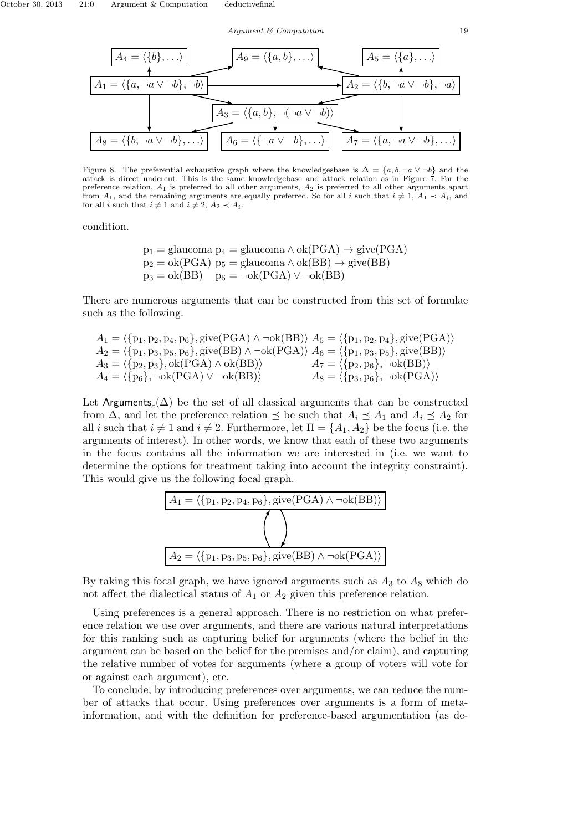Argument & Computation 19

| \n $A_4 = \langle \{b\}, \ldots \rangle$ \n                      | \n $A_9 = \langle \{a, b\}, \ldots \rangle$ \n                  | \n $A_5 = \langle \{a\}, \ldots \rangle$ \n                     |
|------------------------------------------------------------------|-----------------------------------------------------------------|-----------------------------------------------------------------|
| \n $A_1 = \langle \{a, \neg a \lor \neg b\}, \neg b \rangle$ \n  | \n $A_2 = \langle \{b, \neg a \lor \neg b\}, \neg a \rangle$ \n |                                                                 |
| \n $A_3 = \langle \{a, b\}, \neg(\neg a \lor \neg b) \rangle$ \n | \n $A_4 = \langle \{b, \neg a \lor \neg b\}, \ldots \rangle$ \n |                                                                 |
| \n $A_5 = \langle \{b, \neg a \lor \neg b\}, \ldots \rangle$ \n  | \n $A_6 = \langle \{ \neg a \lor \neg b \}, \ldots \rangle$ \n  | \n $A_7 = \langle \{a, \neg a \lor \neg b\}, \ldots \rangle$ \n |

Figure 8. The preferential exhaustive graph where the knowledgesbase is  $\Delta = \{a, b, \neg a \vee \neg b\}$  and the attack is direct undercut. This is the same knowledgebase and attack relation as in Figure 7. For the preference relation,  $A_1$  is preferred to all other arguments,  $A_2$  is preferred to all other arguments apart from  $A_1$ , and the remaining arguments are equally preferred. So for all i such that  $i \neq 1$ ,  $A_1 \prec A_i$ , and for all i such that  $i \neq 1$  and  $i \neq 2$ ,  $A_2 \prec A_i$ .

condition.

 $p_1 =$  glaucoma  $p_4 =$  glaucoma  $\wedge$  ok(PGA)  $\rightarrow$  give(PGA)  $p_2 = ok(PGA)$   $p_5 = glaucoma \wedge ok(BB) \rightarrow give(BB)$  $p_3 = ok(BB)$   $p_6 = \neg ok(PGA) \lor \neg ok(BB)$ 

There are numerous arguments that can be constructed from this set of formulae such as the following.

$$
A_1 = \langle \{p_1, p_2, p_4, p_6\}, \text{give}(PGA) \land \neg \text{ok}(BB) \rangle \ A_5 = \langle \{p_1, p_2, p_4\}, \text{give}(PGA) \rangle
$$
\n
$$
A_2 = \langle \{p_1, p_3, p_5, p_6\}, \text{give}(BB) \land \neg \text{ok}(PGA) \rangle \ A_6 = \langle \{p_1, p_3, p_5\}, \text{give}(BB) \rangle
$$
\n
$$
A_3 = \langle \{p_2, p_3\}, \text{ok}(PGA) \land \text{ok}(BB) \rangle \ A_7 = \langle \{p_2, p_6\}, \neg \text{ok}(BB) \rangle
$$
\n
$$
A_4 = \langle \{p_6\}, \neg \text{ok}(PGA) \lor \neg \text{ok}(BB) \rangle \ A_8 = \langle \{p_3, p_6\}, \neg \text{ok}(PGA) \rangle
$$

Let  $\mathsf{Arguments}_c(\Delta)$  be the set of all classical arguments that can be constructed from  $\Delta$ , and let the preference relation  $\preceq$  be such that  $A_i \preceq A_1$  and  $A_i \preceq A_2$  for all i such that  $i \neq 1$  and  $i \neq 2$ . Furthermore, let  $\Pi = \{A_1, A_2\}$  be the focus (i.e. the arguments of interest). In other words, we know that each of these two arguments in the focus contains all the information we are interested in (i.e. we want to determine the options for treatment taking into account the integrity constraint). This would give us the following focal graph.



By taking this focal graph, we have ignored arguments such as  $A_3$  to  $A_8$  which do not affect the dialectical status of  $A_1$  or  $A_2$  given this preference relation.

Using preferences is a general approach. There is no restriction on what preference relation we use over arguments, and there are various natural interpretations for this ranking such as capturing belief for arguments (where the belief in the argument can be based on the belief for the premises and/or claim), and capturing the relative number of votes for arguments (where a group of voters will vote for or against each argument), etc.

To conclude, by introducing preferences over arguments, we can reduce the number of attacks that occur. Using preferences over arguments is a form of metainformation, and with the definition for preference-based argumentation (as de-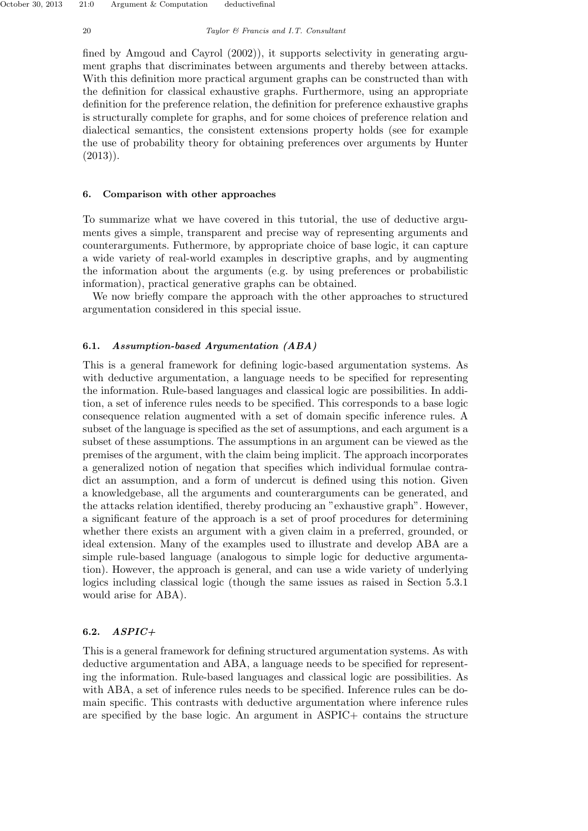fined by Amgoud and Cayrol (2002)), it supports selectivity in generating argument graphs that discriminates between arguments and thereby between attacks. With this definition more practical argument graphs can be constructed than with the definition for classical exhaustive graphs. Furthermore, using an appropriate definition for the preference relation, the definition for preference exhaustive graphs is structurally complete for graphs, and for some choices of preference relation and dialectical semantics, the consistent extensions property holds (see for example the use of probability theory for obtaining preferences over arguments by Hunter  $(2013)$ .

## 6. Comparison with other approaches

To summarize what we have covered in this tutorial, the use of deductive arguments gives a simple, transparent and precise way of representing arguments and counterarguments. Futhermore, by appropriate choice of base logic, it can capture a wide variety of real-world examples in descriptive graphs, and by augmenting the information about the arguments (e.g. by using preferences or probabilistic information), practical generative graphs can be obtained.

We now briefly compare the approach with the other approaches to structured argumentation considered in this special issue.

## 6.1. Assumption-based Argumentation (ABA)

This is a general framework for defining logic-based argumentation systems. As with deductive argumentation, a language needs to be specified for representing the information. Rule-based languages and classical logic are possibilities. In addition, a set of inference rules needs to be specified. This corresponds to a base logic consequence relation augmented with a set of domain specific inference rules. A subset of the language is specified as the set of assumptions, and each argument is a subset of these assumptions. The assumptions in an argument can be viewed as the premises of the argument, with the claim being implicit. The approach incorporates a generalized notion of negation that specifies which individual formulae contradict an assumption, and a form of undercut is defined using this notion. Given a knowledgebase, all the arguments and counterarguments can be generated, and the attacks relation identified, thereby producing an "exhaustive graph". However, a significant feature of the approach is a set of proof procedures for determining whether there exists an argument with a given claim in a preferred, grounded, or ideal extension. Many of the examples used to illustrate and develop ABA are a simple rule-based language (analogous to simple logic for deductive argumentation). However, the approach is general, and can use a wide variety of underlying logics including classical logic (though the same issues as raised in Section 5.3.1 would arise for ABA).

## 6.2.  $ASPIC+$

This is a general framework for defining structured argumentation systems. As with deductive argumentation and ABA, a language needs to be specified for representing the information. Rule-based languages and classical logic are possibilities. As with ABA, a set of inference rules needs to be specified. Inference rules can be domain specific. This contrasts with deductive argumentation where inference rules are specified by the base logic. An argument in ASPIC+ contains the structure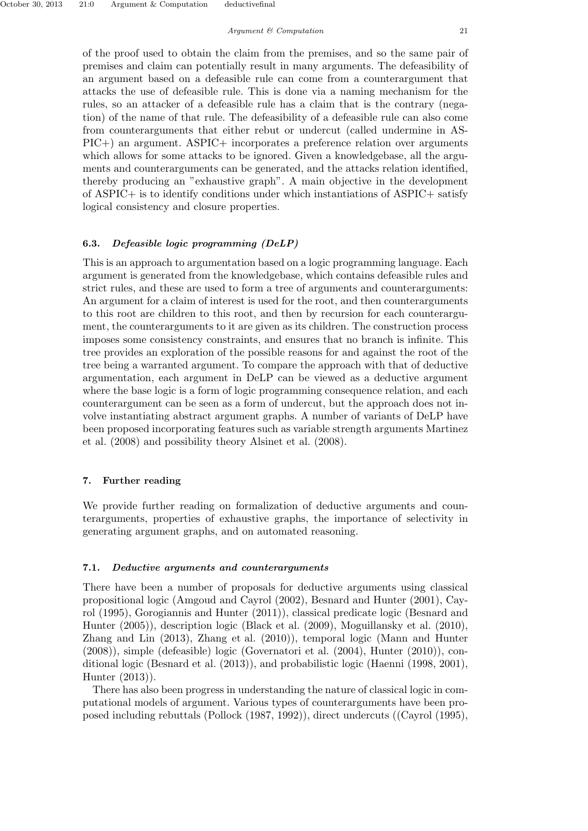of the proof used to obtain the claim from the premises, and so the same pair of premises and claim can potentially result in many arguments. The defeasibility of an argument based on a defeasible rule can come from a counterargument that attacks the use of defeasible rule. This is done via a naming mechanism for the rules, so an attacker of a defeasible rule has a claim that is the contrary (negation) of the name of that rule. The defeasibility of a defeasible rule can also come from counterarguments that either rebut or undercut (called undermine in AS-PIC+) an argument. ASPIC+ incorporates a preference relation over arguments which allows for some attacks to be ignored. Given a knowledgebase, all the arguments and counterarguments can be generated, and the attacks relation identified, thereby producing an "exhaustive graph". A main objective in the development of ASPIC+ is to identify conditions under which instantiations of ASPIC+ satisfy logical consistency and closure properties.

## 6.3. Defeasible logic programming (DeLP)

This is an approach to argumentation based on a logic programming language. Each argument is generated from the knowledgebase, which contains defeasible rules and strict rules, and these are used to form a tree of arguments and counterarguments: An argument for a claim of interest is used for the root, and then counterarguments to this root are children to this root, and then by recursion for each counterargument, the counterarguments to it are given as its children. The construction process imposes some consistency constraints, and ensures that no branch is infinite. This tree provides an exploration of the possible reasons for and against the root of the tree being a warranted argument. To compare the approach with that of deductive argumentation, each argument in DeLP can be viewed as a deductive argument where the base logic is a form of logic programming consequence relation, and each counterargument can be seen as a form of undercut, but the approach does not involve instantiating abstract argument graphs. A number of variants of DeLP have been proposed incorporating features such as variable strength arguments Martinez et al. (2008) and possibility theory Alsinet et al. (2008).

## 7. Further reading

We provide further reading on formalization of deductive arguments and counterarguments, properties of exhaustive graphs, the importance of selectivity in generating argument graphs, and on automated reasoning.

## 7.1. Deductive arguments and counterarguments

There have been a number of proposals for deductive arguments using classical propositional logic (Amgoud and Cayrol (2002), Besnard and Hunter (2001), Cayrol (1995), Gorogiannis and Hunter (2011)), classical predicate logic (Besnard and Hunter (2005)), description logic (Black et al. (2009), Moguillansky et al. (2010), Zhang and Lin (2013), Zhang et al. (2010)), temporal logic (Mann and Hunter (2008)), simple (defeasible) logic (Governatori et al. (2004), Hunter (2010)), conditional logic (Besnard et al. (2013)), and probabilistic logic (Haenni (1998, 2001), Hunter (2013)).

There has also been progress in understanding the nature of classical logic in computational models of argument. Various types of counterarguments have been proposed including rebuttals (Pollock (1987, 1992)), direct undercuts ((Cayrol (1995),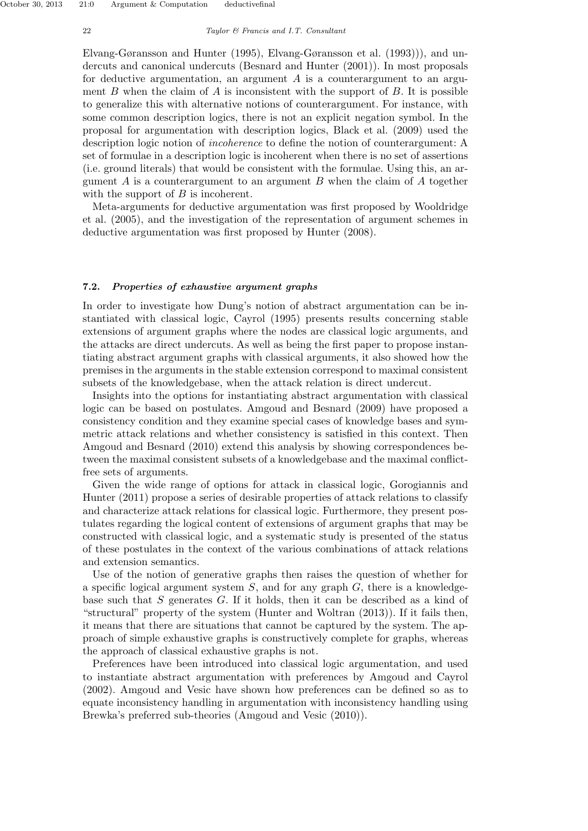Elvang-Gøransson and Hunter (1995), Elvang-Gøransson et al. (1993))), and undercuts and canonical undercuts (Besnard and Hunter (2001)). In most proposals for deductive argumentation, an argument  $A$  is a counterargument to an argument  $B$  when the claim of  $A$  is inconsistent with the support of  $B$ . It is possible to generalize this with alternative notions of counterargument. For instance, with some common description logics, there is not an explicit negation symbol. In the proposal for argumentation with description logics, Black et al. (2009) used the description logic notion of incoherence to define the notion of counterargument: A set of formulae in a description logic is incoherent when there is no set of assertions (i.e. ground literals) that would be consistent with the formulae. Using this, an argument  $A$  is a counterargument to an argument  $B$  when the claim of  $A$  together with the support of  $B$  is incoherent.

Meta-arguments for deductive argumentation was first proposed by Wooldridge et al. (2005), and the investigation of the representation of argument schemes in deductive argumentation was first proposed by Hunter (2008).

## 7.2. Properties of exhaustive argument graphs

In order to investigate how Dung's notion of abstract argumentation can be instantiated with classical logic, Cayrol (1995) presents results concerning stable extensions of argument graphs where the nodes are classical logic arguments, and the attacks are direct undercuts. As well as being the first paper to propose instantiating abstract argument graphs with classical arguments, it also showed how the premises in the arguments in the stable extension correspond to maximal consistent subsets of the knowledgebase, when the attack relation is direct undercut.

Insights into the options for instantiating abstract argumentation with classical logic can be based on postulates. Amgoud and Besnard (2009) have proposed a consistency condition and they examine special cases of knowledge bases and symmetric attack relations and whether consistency is satisfied in this context. Then Amgoud and Besnard (2010) extend this analysis by showing correspondences between the maximal consistent subsets of a knowledgebase and the maximal conflictfree sets of arguments.

Given the wide range of options for attack in classical logic, Gorogiannis and Hunter (2011) propose a series of desirable properties of attack relations to classify and characterize attack relations for classical logic. Furthermore, they present postulates regarding the logical content of extensions of argument graphs that may be constructed with classical logic, and a systematic study is presented of the status of these postulates in the context of the various combinations of attack relations and extension semantics.

Use of the notion of generative graphs then raises the question of whether for a specific logical argument system  $S$ , and for any graph  $G$ , there is a knowledgebase such that S generates G. If it holds, then it can be described as a kind of "structural" property of the system (Hunter and Woltran (2013)). If it fails then, it means that there are situations that cannot be captured by the system. The approach of simple exhaustive graphs is constructively complete for graphs, whereas the approach of classical exhaustive graphs is not.

Preferences have been introduced into classical logic argumentation, and used to instantiate abstract argumentation with preferences by Amgoud and Cayrol (2002). Amgoud and Vesic have shown how preferences can be defined so as to equate inconsistency handling in argumentation with inconsistency handling using Brewka's preferred sub-theories (Amgoud and Vesic (2010)).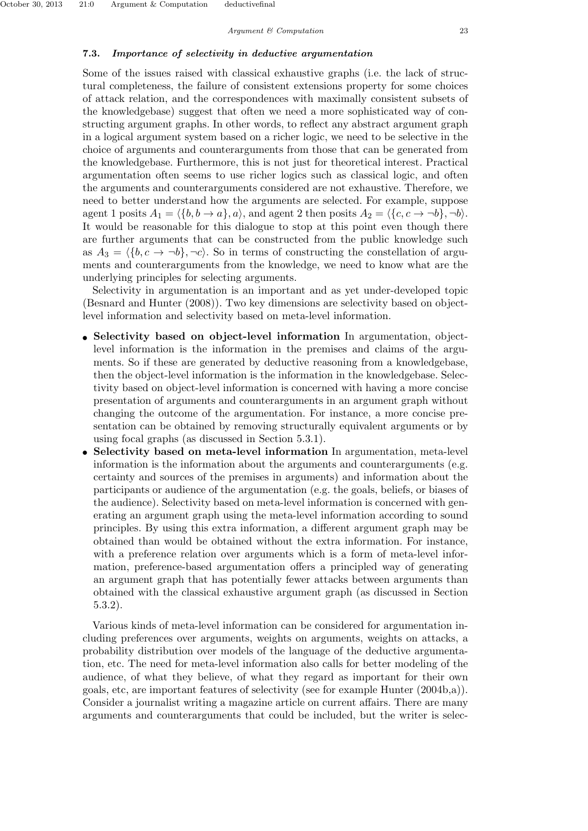## 7.3. Importance of selectivity in deductive argumentation

Some of the issues raised with classical exhaustive graphs (i.e. the lack of structural completeness, the failure of consistent extensions property for some choices of attack relation, and the correspondences with maximally consistent subsets of the knowledgebase) suggest that often we need a more sophisticated way of constructing argument graphs. In other words, to reflect any abstract argument graph in a logical argument system based on a richer logic, we need to be selective in the choice of arguments and counterarguments from those that can be generated from the knowledgebase. Furthermore, this is not just for theoretical interest. Practical argumentation often seems to use richer logics such as classical logic, and often the arguments and counterarguments considered are not exhaustive. Therefore, we need to better understand how the arguments are selected. For example, suppose agent 1 posits  $A_1 = \langle \{b, b \to a\}, a \rangle$ , and agent 2 then posits  $A_2 = \langle \{c, c \to \neg b\}, \neg b \rangle$ . It would be reasonable for this dialogue to stop at this point even though there are further arguments that can be constructed from the public knowledge such as  $A_3 = \langle \{b, c \to \neg b\}, \neg c \rangle$ . So in terms of constructing the constellation of arguments and counterarguments from the knowledge, we need to know what are the underlying principles for selecting arguments.

Selectivity in argumentation is an important and as yet under-developed topic (Besnard and Hunter (2008)). Two key dimensions are selectivity based on objectlevel information and selectivity based on meta-level information.

- Selectivity based on object-level information In argumentation, objectlevel information is the information in the premises and claims of the arguments. So if these are generated by deductive reasoning from a knowledgebase, then the object-level information is the information in the knowledgebase. Selectivity based on object-level information is concerned with having a more concise presentation of arguments and counterarguments in an argument graph without changing the outcome of the argumentation. For instance, a more concise presentation can be obtained by removing structurally equivalent arguments or by using focal graphs (as discussed in Section 5.3.1).
- Selectivity based on meta-level information In argumentation, meta-level information is the information about the arguments and counterarguments (e.g. certainty and sources of the premises in arguments) and information about the participants or audience of the argumentation (e.g. the goals, beliefs, or biases of the audience). Selectivity based on meta-level information is concerned with generating an argument graph using the meta-level information according to sound principles. By using this extra information, a different argument graph may be obtained than would be obtained without the extra information. For instance, with a preference relation over arguments which is a form of meta-level information, preference-based argumentation offers a principled way of generating an argument graph that has potentially fewer attacks between arguments than obtained with the classical exhaustive argument graph (as discussed in Section 5.3.2).

Various kinds of meta-level information can be considered for argumentation including preferences over arguments, weights on arguments, weights on attacks, a probability distribution over models of the language of the deductive argumentation, etc. The need for meta-level information also calls for better modeling of the audience, of what they believe, of what they regard as important for their own goals, etc, are important features of selectivity (see for example Hunter (2004b,a)). Consider a journalist writing a magazine article on current affairs. There are many arguments and counterarguments that could be included, but the writer is selec-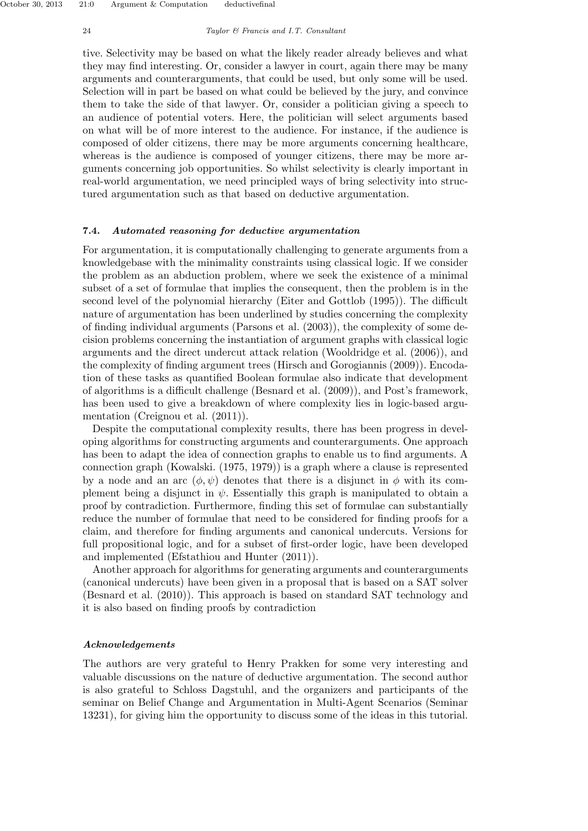tive. Selectivity may be based on what the likely reader already believes and what they may find interesting. Or, consider a lawyer in court, again there may be many arguments and counterarguments, that could be used, but only some will be used. Selection will in part be based on what could be believed by the jury, and convince them to take the side of that lawyer. Or, consider a politician giving a speech to an audience of potential voters. Here, the politician will select arguments based on what will be of more interest to the audience. For instance, if the audience is composed of older citizens, there may be more arguments concerning healthcare, whereas is the audience is composed of younger citizens, there may be more arguments concerning job opportunities. So whilst selectivity is clearly important in real-world argumentation, we need principled ways of bring selectivity into structured argumentation such as that based on deductive argumentation.

## 7.4. Automated reasoning for deductive argumentation

For argumentation, it is computationally challenging to generate arguments from a knowledgebase with the minimality constraints using classical logic. If we consider the problem as an abduction problem, where we seek the existence of a minimal subset of a set of formulae that implies the consequent, then the problem is in the second level of the polynomial hierarchy (Eiter and Gottlob (1995)). The difficult nature of argumentation has been underlined by studies concerning the complexity of finding individual arguments (Parsons et al. (2003)), the complexity of some decision problems concerning the instantiation of argument graphs with classical logic arguments and the direct undercut attack relation (Wooldridge et al. (2006)), and the complexity of finding argument trees (Hirsch and Gorogiannis (2009)). Encodation of these tasks as quantified Boolean formulae also indicate that development of algorithms is a difficult challenge (Besnard et al. (2009)), and Post's framework, has been used to give a breakdown of where complexity lies in logic-based argumentation (Creignou et al. (2011)).

Despite the computational complexity results, there has been progress in developing algorithms for constructing arguments and counterarguments. One approach has been to adapt the idea of connection graphs to enable us to find arguments. A connection graph (Kowalski. (1975, 1979)) is a graph where a clause is represented by a node and an arc  $(\phi, \psi)$  denotes that there is a disjunct in  $\phi$  with its complement being a disjunct in  $\psi$ . Essentially this graph is manipulated to obtain a proof by contradiction. Furthermore, finding this set of formulae can substantially reduce the number of formulae that need to be considered for finding proofs for a claim, and therefore for finding arguments and canonical undercuts. Versions for full propositional logic, and for a subset of first-order logic, have been developed and implemented (Efstathiou and Hunter (2011)).

Another approach for algorithms for generating arguments and counterarguments (canonical undercuts) have been given in a proposal that is based on a SAT solver (Besnard et al. (2010)). This approach is based on standard SAT technology and it is also based on finding proofs by contradiction

## Acknowledgements

The authors are very grateful to Henry Prakken for some very interesting and valuable discussions on the nature of deductive argumentation. The second author is also grateful to Schloss Dagstuhl, and the organizers and participants of the seminar on Belief Change and Argumentation in Multi-Agent Scenarios (Seminar 13231), for giving him the opportunity to discuss some of the ideas in this tutorial.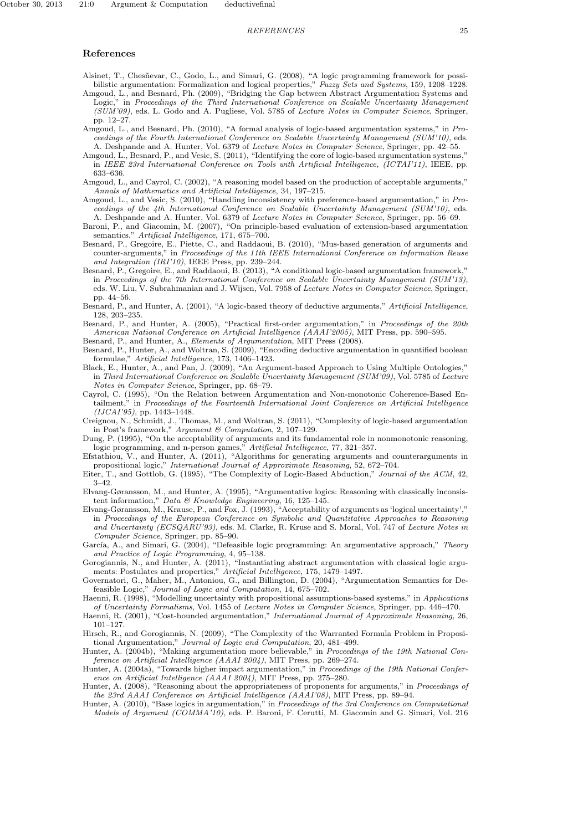#### REFERENCES 25

#### References

- Alsinet, T., Chesñevar, C., Godo, L., and Simari, G. (2008), "A logic programming framework for possibilistic argumentation: Formalization and logical properties," Fuzzy Sets and Systems, 159, 1208–1228.
- Amgoud, L., and Besnard, Ph. (2009), "Bridging the Gap between Abstract Argumentation Systems and Logic," in Proceedings of the Third International Conference on Scalable Uncertainty Management (SUM'09), eds. L. Godo and A. Pugliese, Vol. 5785 of Lecture Notes in Computer Science, Springer, pp. 12–27.
- Amgoud, L., and Besnard, Ph. (2010), "A formal analysis of logic-based argumentation systems," in Proceedings of the Fourth International Conference on Scalable Uncertainty Management (SUM'10), eds. A. Deshpande and A. Hunter, Vol. 6379 of Lecture Notes in Computer Science, Springer, pp. 42–55.
- Amgoud, L., Besnard, P., and Vesic, S. (2011), "Identifying the core of logic-based argumentation systems," in IEEE 23rd International Conference on Tools with Artificial Intelligence, (ICTAI'11), IEEE, pp. 633–636.
- Amgoud, L., and Cayrol, C. (2002), "A reasoning model based on the production of acceptable arguments," Annals of Mathematics and Artificial Intelligence, 34, 197–215.
- Amgoud, L., and Vesic, S. (2010), "Handling inconsistency with preference-based argumentation," in Proceedings of the 4th International Conference on Scalable Uncertainty Management (SUM'10), eds. A. Deshpande and A. Hunter, Vol. 6379 of Lecture Notes in Computer Science, Springer, pp. 56–69.
- Baroni, P., and Giacomin, M. (2007), "On principle-based evaluation of extension-based argumentation semantics," Artificial Intelligence, 171, 675–700.
- Besnard, P., Gregoire, E., Piette, C., and Raddaoui, B. (2010), "Mus-based generation of arguments and counter-arguments," in Proceedings of the 11th IEEE International Conference on Information Reuse and Integration (IRI'10), IEEE Press, pp. 239–244.
- Besnard, P., Gregoire, E., and Raddaoui, B. (2013), "A conditional logic-based argumentation framework," in Proceedings of the 7th International Conference on Scalable Uncertainty Management (SUM'13), eds. W. Liu, V. Subrahmanian and J. Wijsen, Vol. 7958 of Lecture Notes in Computer Science, Springer, pp. 44–56.
- Besnard, P., and Hunter, A. (2001), "A logic-based theory of deductive arguments," Artificial Intelligence, 128, 203–235.
- Besnard, P., and Hunter, A. (2005), "Practical first-order argumentation," in Proceedings of the 20th American National Conference on Artificial Intelligence (AAAI'2005), MIT Press, pp. 590–595.
- Besnard, P., and Hunter, A., *Elements of Argumentation*, MIT Press (2008).
- Besnard, P., Hunter, A., and Woltran, S. (2009), "Encoding deductive argumentation in quantified boolean formulae," Artificial Intelligence, 173, 1406–1423.
- Black, E., Hunter, A., and Pan, J. (2009), "An Argument-based Approach to Using Multiple Ontologies," in Third International Conference on Scalable Uncertainty Management (SUM'09), Vol. 5785 of Lecture Notes in Computer Science, Springer, pp. 68–79.
- Cayrol, C. (1995), "On the Relation between Argumentation and Non-monotonic Coherence-Based Entailment," in Proceedings of the Fourteenth International Joint Conference on Artificial Intelligence (IJCAI'95), pp. 1443–1448.
- Creignou, N., Schmidt, J., Thomas, M., and Woltran, S. (2011), "Complexity of logic-based argumentation in Post's framework," Argument & Computation, 2, 107-129.
- Dung, P. (1995), "On the acceptability of arguments and its fundamental role in nonmonotonic reasoning, logic programming, and n-person games," Artificial Intelligence, 77, 321-357.
- Efstathiou, V., and Hunter, A. (2011), "Algorithms for generating arguments and counterarguments in propositional logic," International Journal of Approximate Reasoning, 52, 672–704.
- Eiter, T., and Gottlob, G. (1995), "The Complexity of Logic-Based Abduction," Journal of the ACM, 42, 3–42.
- Elvang-Gøransson, M., and Hunter, A. (1995), "Argumentative logics: Reasoning with classically inconsistent information," Data & Knowledge Engineering, 16, 125-145.
- Elvang-Gøransson, M., Krause, P., and Fox, J. (1993), "Acceptability of arguments as 'logical uncertainty'," in Proceedings of the European Conference on Symbolic and Quantitative Approaches to Reasoning and Uncertainty (ECSQARU'93), eds. M. Clarke, R. Kruse and S. Moral, Vol. 747 of Lecture Notes in Computer Science, Springer, pp. 85–90.
- García, A., and Simari, G. (2004), "Defeasible logic programming: An argumentative approach," Theory and Practice of Logic Programming, 4, 95–138.
- Gorogiannis, N., and Hunter, A. (2011), "Instantiating abstract argumentation with classical logic arguments: Postulates and properties," Artificial Intelligence, 175, 1479–1497.
- Governatori, G., Maher, M., Antoniou, G., and Billington, D. (2004), "Argumentation Semantics for Defeasible Logic," Journal of Logic and Computation, 14, 675–702.
- Haenni, R. (1998), "Modelling uncertainty with propositional assumptions-based systems," in Applications of Uncertainty Formalisms, Vol. 1455 of Lecture Notes in Computer Science, Springer, pp. 446–470.
- Haenni, R. (2001), "Cost-bounded argumentation," International Journal of Approximate Reasoning, 26, 101–127.
- Hirsch, R., and Gorogiannis, N. (2009), "The Complexity of the Warranted Formula Problem in Propositional Argumentation," Journal of Logic and Computation, 20, 481–499.
- Hunter, A. (2004b), "Making argumentation more believable," in Proceedings of the 19th National Conference on Artificial Intelligence (AAAI 2004), MIT Press, pp. 269–274.
- Hunter, A. (2004a), "Towards higher impact argumentation," in Proceedings of the 19th National Conference on Artificial Intelligence (AAAI 2004), MIT Press, pp. 275–280.
- Hunter, A. (2008), "Reasoning about the appropriateness of proponents for arguments," in Proceedings of the 23rd AAAI Conference on Artificial Intelligence (AAAI'08), MIT Press, pp. 89–94.
- Hunter, A. (2010), "Base logics in argumentation," in Proceedings of the 3rd Conference on Computational Models of Argument (COMMA'10), eds. P. Baroni, F. Cerutti, M. Giacomin and G. Simari, Vol. 216